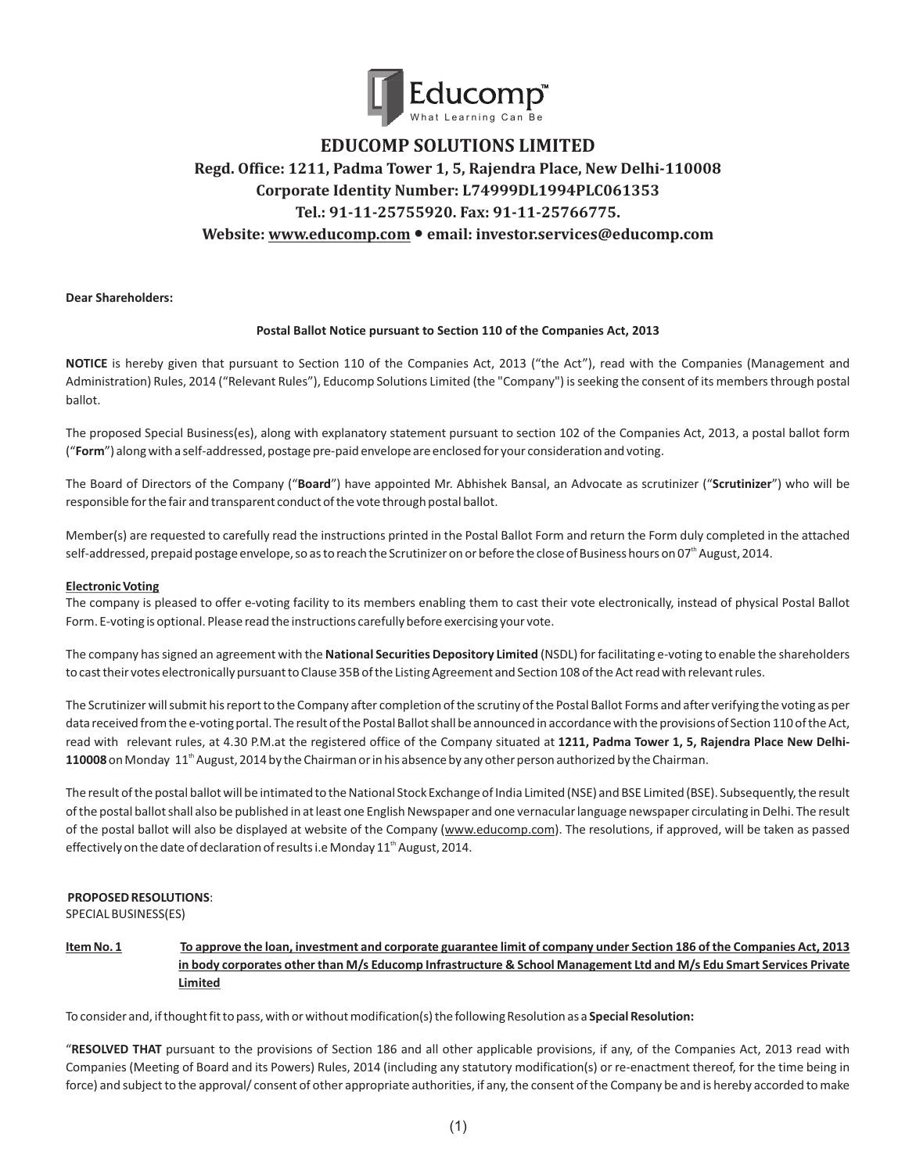

# **EDUCOMP SOLUTIONS LIMITED Regd. Office: 1211, Padma Tower 1, 5, Rajendra Place, New Delhi-110008 Corporate Identity Number: L74999DL1994PLC061353 Tel.: 91-11-25755920. Fax: 91-11-25766775. Website: www.educomp.com** ● **email: investor.services@educomp.com**

**Dear Shareholders:**

#### **Postal Ballot Notice pursuant to Section 110 of the Companies Act, 2013**

**NOTICE** is hereby given that pursuant to Section 110 of the Companies Act, 2013 ("the Act"), read with the Companies (Management and Administration) Rules, 2014 ("Relevant Rules"), Educomp Solutions Limited (the "Company") is seeking the consent of its members through postal ballot.

The proposed Special Business(es), along with explanatory statement pursuant to section 102 of the Companies Act, 2013, a postal ballot form ("**Form**") along with a self-addressed, postage pre-paid envelope are enclosed for your consideration and voting.

The Board of Directors of the Company ("**Board**") have appointed Mr. Abhishek Bansal, an Advocate as scrutinizer ("**Scrutinizer**") who will be responsible for the fair and transparent conduct of the vote through postal ballot.

Member(s) are requested to carefully read the instructions printed in the Postal Ballot Form and return the Form duly completed in the attached self-addressed, prepaid postage envelope, so as to reach the Scrutinizer on or before the close of Business hours on 07<sup>th</sup> August, 2014.

#### **Electronic Voting**

The company is pleased to offer e-voting facility to its members enabling them to cast their vote electronically, instead of physical Postal Ballot Form. E-voting is optional. Please read the instructions carefully before exercising your vote.

The company has signed an agreement with the **National Securities Depository Limited** (NSDL) for facilitating e-voting to enable the shareholders to cast their votes electronically pursuant to Clause 35B of the Listing Agreement and Section 108 of the Act read with relevant rules.

The Scrutinizer will submit his report to the Company after completion of the scrutiny of the Postal Ballot Forms and after verifying the voting as per data received from the e-voting portal. The result of the Postal Ballot shall be announced in accordance with the provisions of Section 110 of the Act, read with relevant rules, at 4.30 P.M.at the registered office of the Company situated at **1211, Padma Tower 1, 5, Rajendra Place New Delhi-110008** on Monday  $11^{\text{th}}$  August, 2014 by the Chairman or in his absence by any other person authorized by the Chairman.

The result of the postal ballot will be intimated to the National Stock Exchange of India Limited (NSE) and BSE Limited (BSE). Subsequently, the result of the postal ballot shall also be published in at least one English Newspaper and one vernacular language newspaper circulating in Delhi. The result of the postal ballot will also be displayed at website of the Company (www.educomp.com). The resolutions, if approved, will be taken as passed effectively on the date of declaration of results i.e Monday 11<sup>th</sup> August, 2014.

# **PROPOSED RESOLUTIONS**:

SPECIAL BUSINESS(ES)

**Item No. 1 To approve the loan, investment and corporate guarantee limit of company under Section 186 of the Companies Act, 2013 in body corporates other than M/s Educomp Infrastructure & School Management Ltd and M/s Edu Smart Services Private Limited**

To consider and, if thought fit to pass, with or without modification(s) the following Resolution as a **Special Resolution:**

"**RESOLVED THAT** pursuant to the provisions of Section 186 and all other applicable provisions, if any, of the Companies Act, 2013 read with Companies (Meeting of Board and its Powers) Rules, 2014 (including any statutory modification(s) or re-enactment thereof, for the time being in force) and subject to the approval/ consent of other appropriate authorities, if any, the consent of the Company be and is hereby accorded to make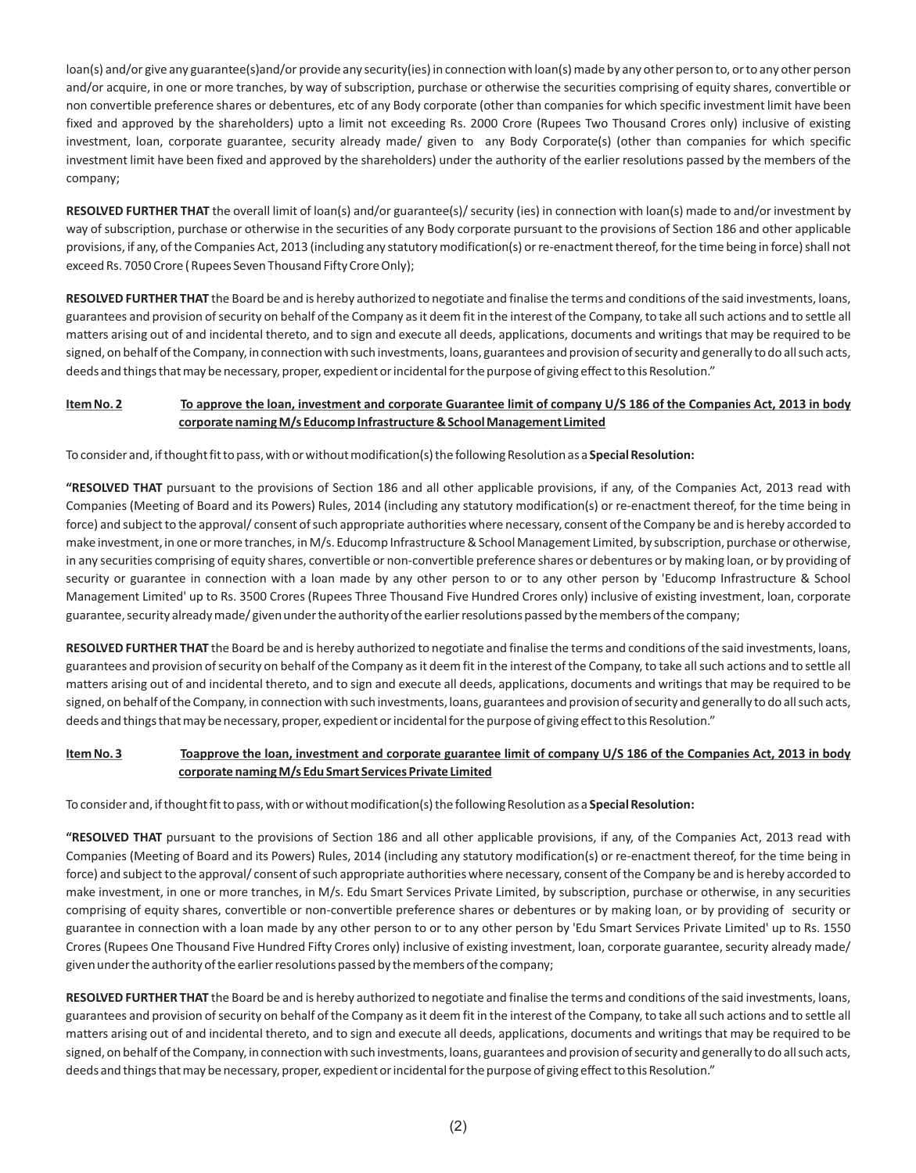loan(s) and/or give any guarantee(s)and/or provide any security(ies) in connection with loan(s) made by any other person to, or to any other person and/or acquire, in one or more tranches, by way of subscription, purchase or otherwise the securities comprising of equity shares, convertible or non convertible preference shares or debentures, etc of any Body corporate (other than companies for which specific investment limit have been fixed and approved by the shareholders) upto a limit not exceeding Rs. 2000 Crore (Rupees Two Thousand Crores only) inclusive of existing investment, loan, corporate guarantee, security already made/ given to any Body Corporate(s) (other than companies for which specific investment limit have been fixed and approved by the shareholders) under the authority of the earlier resolutions passed by the members of the company;

**RESOLVED FURTHER THAT** the overall limit of loan(s) and/or guarantee(s)/ security (ies) in connection with loan(s) made to and/or investment by way of subscription, purchase or otherwise in the securities of any Body corporate pursuant to the provisions of Section 186 and other applicable provisions, if any, of the Companies Act, 2013 (including any statutory modification(s) or re-enactment thereof, for the time being in force) shall not exceed Rs. 7050 Crore ( Rupees Seven Thousand Fifty Crore Only);

**RESOLVED FURTHER THAT** the Board be and is hereby authorized to negotiate and finalise the terms and conditions of the said investments, loans, guarantees and provision of security on behalf of the Company as it deem fit in the interest of the Company, to take all such actions and to settle all matters arising out of and incidental thereto, and to sign and execute all deeds, applications, documents and writings that may be required to be signed, on behalf of the Company, in connection with such investments, loans, guarantees and provision of security and generally to do all such acts, deeds and things that may be necessary, proper, expedient or incidental for the purpose of giving effect to this Resolution."

# **Item No. 2 To approve the loan, investment and corporate Guarantee limit of company U/S 186 of the Companies Act, 2013 in body corporate naming M/s Educomp Infrastructure & School Management Limited**

To consider and, if thought fit to pass, with or without modification(s) the following Resolution as a **Special Resolution:**

**"RESOLVED THAT** pursuant to the provisions of Section 186 and all other applicable provisions, if any, of the Companies Act, 2013 read with Companies (Meeting of Board and its Powers) Rules, 2014 (including any statutory modification(s) or re-enactment thereof, for the time being in force) and subject to the approval/ consent of such appropriate authorities where necessary, consent of the Company be and is hereby accorded to make investment, in one or more tranches, in M/s. Educomp Infrastructure & School Management Limited, by subscription, purchase or otherwise, in any securities comprising of equity shares, convertible or non-convertible preference shares or debentures or by making loan, or by providing of security or guarantee in connection with a loan made by any other person to or to any other person by 'Educomp Infrastructure & School Management Limited' up to Rs. 3500 Crores (Rupees Three Thousand Five Hundred Crores only) inclusive of existing investment, loan, corporate guarantee, security already made/ given under the authority of the earlier resolutions passed by the members of the company;

**RESOLVED FURTHER THAT** the Board be and is hereby authorized to negotiate and finalise the terms and conditions of the said investments, loans, guarantees and provision of security on behalf of the Company as it deem fit in the interest of the Company, to take all such actions and to settle all matters arising out of and incidental thereto, and to sign and execute all deeds, applications, documents and writings that may be required to be signed, on behalf of the Company, in connection with such investments, loans, guarantees and provision of security and generally to do all such acts, deeds and things that may be necessary, proper, expedient or incidental for the purpose of giving effect to this Resolution."

# **Item No. 3 Toapprove the loan, investment and corporate guarantee limit of company U/S 186 of the Companies Act, 2013 in body corporate naming M/s Edu Smart Services Private Limited**

To consider and, if thought fit to pass, with or without modification(s) the following Resolution as a **Special Resolution:**

**"RESOLVED THAT** pursuant to the provisions of Section 186 and all other applicable provisions, if any, of the Companies Act, 2013 read with Companies (Meeting of Board and its Powers) Rules, 2014 (including any statutory modification(s) or re-enactment thereof, for the time being in force) and subject to the approval/ consent of such appropriate authorities where necessary, consent of the Company be and is hereby accorded to make investment, in one or more tranches, in M/s. Edu Smart Services Private Limited, by subscription, purchase or otherwise, in any securities comprising of equity shares, convertible or non-convertible preference shares or debentures or by making loan, or by providing of security or guarantee in connection with a loan made by any other person to or to any other person by 'Edu Smart Services Private Limited' up to Rs. 1550 Crores (Rupees One Thousand Five Hundred Fifty Crores only) inclusive of existing investment, loan, corporate guarantee, security already made/ given under the authority of the earlier resolutions passed by the members of the company;

**RESOLVED FURTHER THAT** the Board be and is hereby authorized to negotiate and finalise the terms and conditions of the said investments, loans, guarantees and provision of security on behalf of the Company as it deem fit in the interest of the Company, to take all such actions and to settle all matters arising out of and incidental thereto, and to sign and execute all deeds, applications, documents and writings that may be required to be signed, on behalf of the Company, in connection with such investments, loans, guarantees and provision of security and generally to do all such acts, deeds and things that may be necessary, proper, expedient or incidental for the purpose of giving effect to this Resolution."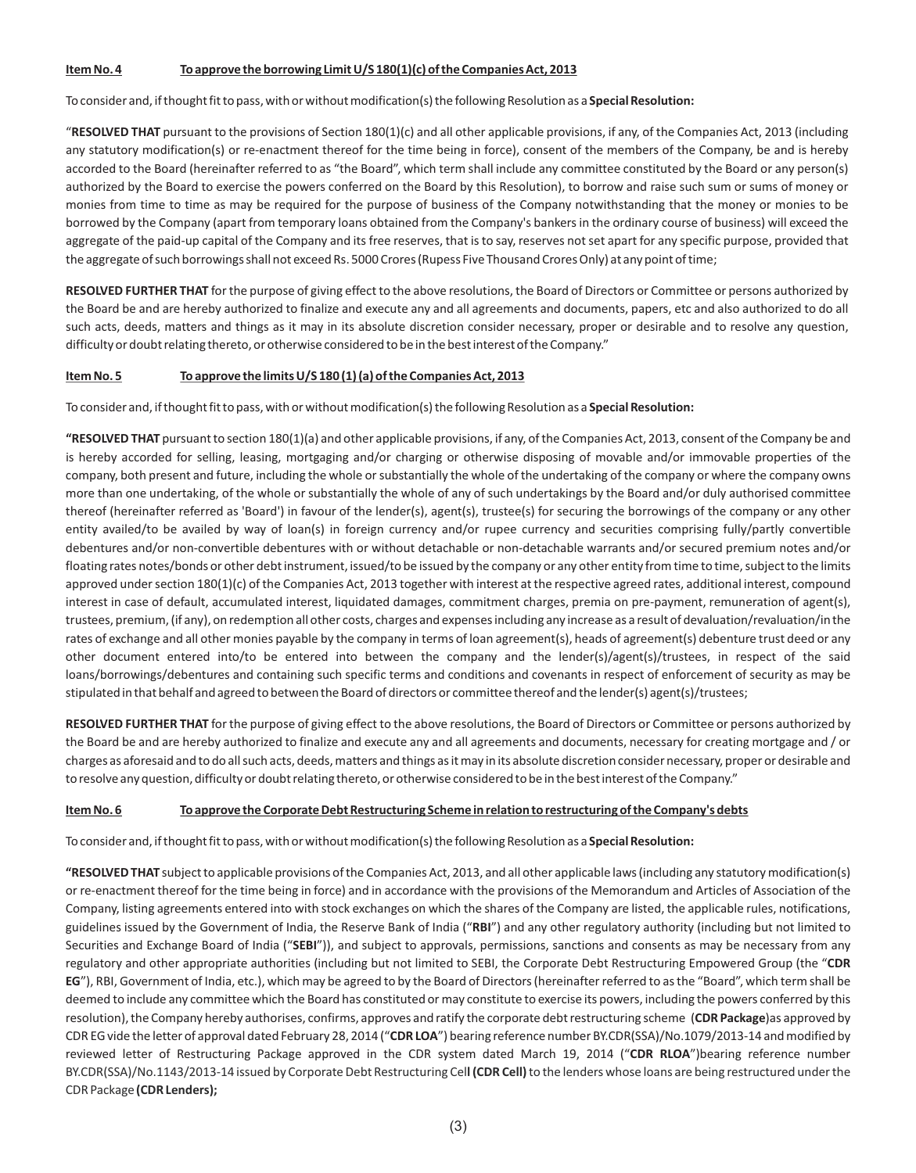#### **Item No. 4 To approve the borrowing Limit U/S 180(1)(c) of the Companies Act, 2013**

#### To consider and, if thought fit to pass, with or without modification(s) the following Resolution as a **Special Resolution:**

"**RESOLVED THAT** pursuant to the provisions of Section 180(1)(c) and all other applicable provisions, if any, of the Companies Act, 2013 (including any statutory modification(s) or re-enactment thereof for the time being in force), consent of the members of the Company, be and is hereby accorded to the Board (hereinafter referred to as "the Board", which term shall include any committee constituted by the Board or any person(s) authorized by the Board to exercise the powers conferred on the Board by this Resolution), to borrow and raise such sum or sums of money or monies from time to time as may be required for the purpose of business of the Company notwithstanding that the money or monies to be borrowed by the Company (apart from temporary loans obtained from the Company's bankers in the ordinary course of business) will exceed the aggregate of the paid-up capital of the Company and its free reserves, that is to say, reserves not set apart for any specific purpose, provided that the aggregate of such borrowings shall not exceed Rs. 5000 Crores (Rupess Five Thousand Crores Only) at any point of time;

**RESOLVED FURTHER THAT** for the purpose of giving effect to the above resolutions, the Board of Directors or Committee or persons authorized by the Board be and are hereby authorized to finalize and execute any and all agreements and documents, papers, etc and also authorized to do all such acts, deeds, matters and things as it may in its absolute discretion consider necessary, proper or desirable and to resolve any question, difficulty or doubt relating thereto, or otherwise considered to be in the best interest of the Company."

#### **Item No. 5 To approve the limits U/S 180 (1) (a) of the Companies Act, 2013**

To consider and, if thought fit to pass, with or without modification(s) the following Resolution as a **Special Resolution:**

**"RESOLVED THAT** pursuant to section 180(1)(a) and other applicable provisions, if any, of the Companies Act, 2013, consent of the Company be and is hereby accorded for selling, leasing, mortgaging and/or charging or otherwise disposing of movable and/or immovable properties of the company, both present and future, including the whole or substantially the whole of the undertaking of the company or where the company owns more than one undertaking, of the whole or substantially the whole of any of such undertakings by the Board and/or duly authorised committee thereof (hereinafter referred as 'Board') in favour of the lender(s), agent(s), trustee(s) for securing the borrowings of the company or any other entity availed/to be availed by way of loan(s) in foreign currency and/or rupee currency and securities comprising fully/partly convertible debentures and/or non-convertible debentures with or without detachable or non-detachable warrants and/or secured premium notes and/or floating rates notes/bonds or other debt instrument, issued/to be issued by the company or any other entity from time to time, subject to the limits approved under section 180(1)(c) of the Companies Act, 2013 together with interest at the respective agreed rates, additional interest, compound interest in case of default, accumulated interest, liquidated damages, commitment charges, premia on pre-payment, remuneration of agent(s), trustees, premium, (if any), on redemption all other costs, charges and expenses including any increase as a result of devaluation/revaluation/in the rates of exchange and all other monies payable by the company in terms of loan agreement(s), heads of agreement(s) debenture trust deed or any other document entered into/to be entered into between the company and the lender(s)/agent(s)/trustees, in respect of the said loans/borrowings/debentures and containing such specific terms and conditions and covenants in respect of enforcement of security as may be stipulated in that behalf and agreed to between the Board of directors or committee thereof and the lender(s) agent(s)/trustees;

**RESOLVED FURTHER THAT** for the purpose of giving effect to the above resolutions, the Board of Directors or Committee or persons authorized by the Board be and are hereby authorized to finalize and execute any and all agreements and documents, necessary for creating mortgage and / or charges as aforesaid and to do all such acts, deeds, matters and things as it may in its absolute discretion consider necessary, proper or desirable and to resolve any question, difficulty or doubt relating thereto, or otherwise considered to be in the best interest of the Company."

#### **Item No. 6 To approve the Corporate Debt Restructuring Scheme in relation to restructuring of the Company's debts**

To consider and, if thought fit to pass, with or without modification(s) the following Resolution as a **Special Resolution:**

**"RESOLVED THAT** subject to applicable provisions of the Companies Act, 2013, and all other applicable laws (including any statutory modification(s) or re-enactment thereof for the time being in force) and in accordance with the provisions of the Memorandum and Articles of Association of the Company, listing agreements entered into with stock exchanges on which the shares of the Company are listed, the applicable rules, notifications, guidelines issued by the Government of India, the Reserve Bank of India ("**RBI**") and any other regulatory authority (including but not limited to Securities and Exchange Board of India ("**SEBI**")), and subject to approvals, permissions, sanctions and consents as may be necessary from any regulatory and other appropriate authorities (including but not limited to SEBI, the Corporate Debt Restructuring Empowered Group (the "**CDR EG**"), RBI, Government of India, etc.), which may be agreed to by the Board of Directors (hereinafter referred to as the "Board", which term shall be deemed to include any committee which the Board has constituted or may constitute to exercise its powers, including the powers conferred by this resolution), the Company hereby authorises, confirms, approves and ratify the corporate debt restructuring scheme (**CDR Package**)as approved by CDR EG vide the letter of approval dated February 28, 2014 ("**CDR LOA**") bearing reference number BY.CDR(SSA)/No.1079/2013-14 and modified by reviewed letter of Restructuring Package approved in the CDR system dated March 19, 2014 ("**CDR RLOA**")bearing reference number BY.CDR(SSA)/No.1143/2013-14 issued by Corporate Debt Restructuring Cel**l (CDR Cell)**to the lenders whose loans are being restructured under the CDR Package **(CDR Lenders);**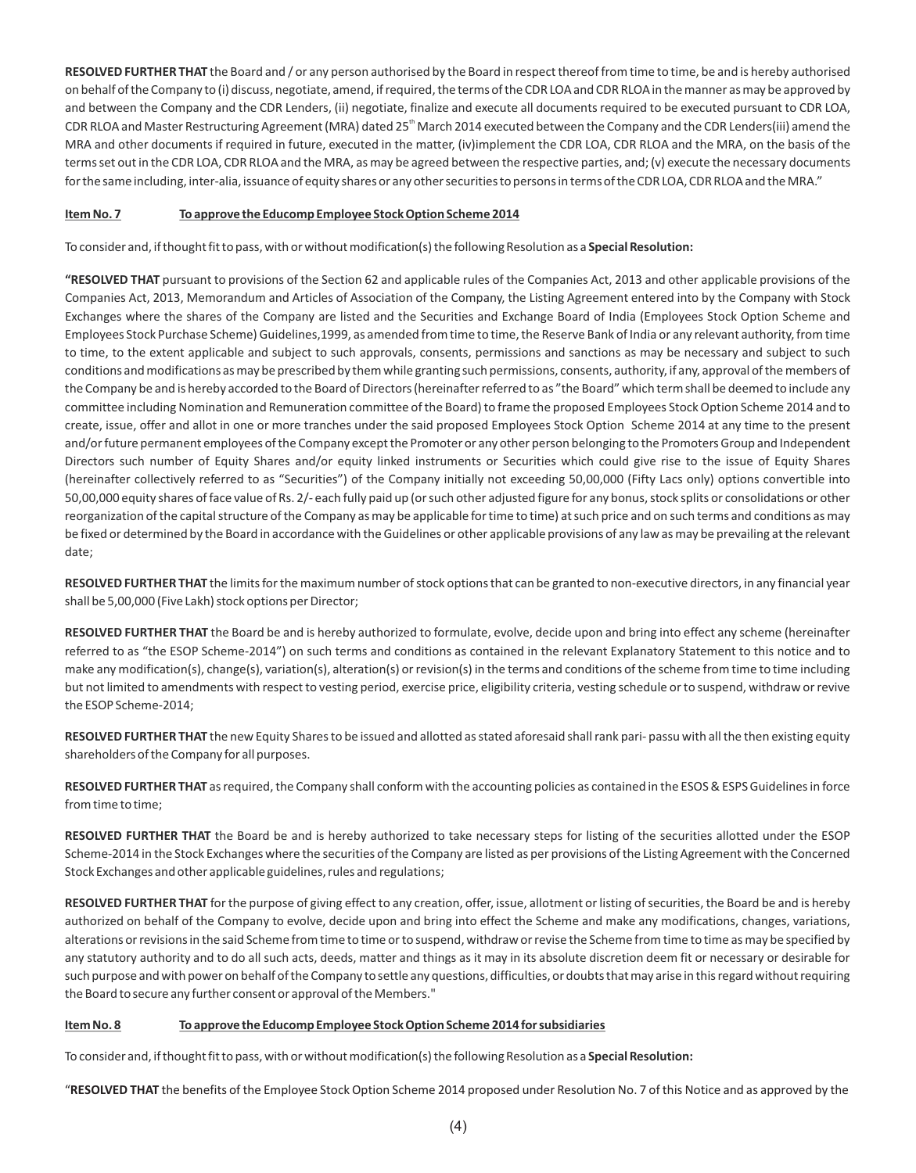**RESOLVED FURTHER THAT** the Board and / or any person authorised by the Board in respect thereof from time to time, be and is hereby authorised on behalf of the Company to (i) discuss, negotiate, amend, if required, the terms of the CDR LOA and CDR RLOA in the manner as may be approved by and between the Company and the CDR Lenders, (ii) negotiate, finalize and execute all documents required to be executed pursuant to CDR LOA, CDR RLOA and Master Restructuring Agreement (MRA) dated 25<sup>th</sup> March 2014 executed between the Company and the CDR Lenders(iii) amend the MRA and other documents if required in future, executed in the matter, (iv)implement the CDR LOA, CDR RLOA and the MRA, on the basis of the terms set out in the CDR LOA, CDR RLOA and the MRA, as may be agreed between the respective parties, and; (v) execute the necessary documents for the same including, inter-alia, issuance of equity shares or any other securities to persons in terms of the CDR LOA, CDR RLOA and the MRA."

#### **Item No. 7 To approve the Educomp Employee Stock Option Scheme 2014**

To consider and, if thought fit to pass, with or without modification(s) the following Resolution as a **Special Resolution:**

**"RESOLVED THAT** pursuant to provisions of the Section 62 and applicable rules of the Companies Act, 2013 and other applicable provisions of the Companies Act, 2013, Memorandum and Articles of Association of the Company, the Listing Agreement entered into by the Company with Stock Exchanges where the shares of the Company are listed and the Securities and Exchange Board of India (Employees Stock Option Scheme and Employees Stock Purchase Scheme) Guidelines,1999, as amended from time to time, the Reserve Bank of India or any relevant authority, from time to time, to the extent applicable and subject to such approvals, consents, permissions and sanctions as may be necessary and subject to such conditions and modifications as may be prescribed by them while granting such permissions, consents, authority, if any, approval of the members of the Company be and is hereby accorded to the Board of Directors (hereinafter referred to as "the Board" which term shall be deemed to include any committee including Nomination and Remuneration committee of the Board) to frame the proposed Employees Stock Option Scheme 2014 and to create, issue, offer and allot in one or more tranches under the said proposed Employees Stock Option Scheme 2014 at any time to the present and/or future permanent employees of the Company except the Promoter or any other person belonging to the Promoters Group and Independent Directors such number of Equity Shares and/or equity linked instruments or Securities which could give rise to the issue of Equity Shares (hereinafter collectively referred to as "Securities") of the Company initially not exceeding 50,00,000 (Fifty Lacs only) options convertible into 50,00,000 equity shares of face value of Rs. 2/- each fully paid up (or such other adjusted figure for any bonus, stock splits or consolidations or other reorganization of the capital structure of the Company as may be applicable for time to time) at such price and on such terms and conditions as may be fixed or determined by the Board in accordance with the Guidelines or other applicable provisions of any law as may be prevailing at the relevant date;

**RESOLVED FURTHER THAT** the limits for the maximum number of stock options that can be granted to non-executive directors, in any financial year shall be 5,00,000 (Five Lakh) stock options per Director;

**RESOLVED FURTHER THAT** the Board be and is hereby authorized to formulate, evolve, decide upon and bring into effect any scheme (hereinafter referred to as "the ESOP Scheme-2014") on such terms and conditions as contained in the relevant Explanatory Statement to this notice and to make any modification(s), change(s), variation(s), alteration(s) or revision(s) in the terms and conditions of the scheme from time to time including but not limited to amendments with respect to vesting period, exercise price, eligibility criteria, vesting schedule or to suspend, withdraw or revive the ESOP Scheme-2014;

**RESOLVED FURTHER THAT** the new Equity Shares to be issued and allotted as stated aforesaid shall rank pari- passu with all the then existing equity shareholders of the Company for all purposes.

**RESOLVED FURTHER THAT** as required, the Company shall conform with the accounting policies as contained in the ESOS & ESPS Guidelines in force from time to time;

**RESOLVED FURTHER THAT** the Board be and is hereby authorized to take necessary steps for listing of the securities allotted under the ESOP Scheme-2014 in the Stock Exchanges where the securities of the Company are listed as per provisions of the Listing Agreement with the Concerned Stock Exchanges and other applicable guidelines, rules and regulations;

**RESOLVED FURTHER THAT** for the purpose of giving effect to any creation, offer, issue, allotment or listing of securities, the Board be and is hereby authorized on behalf of the Company to evolve, decide upon and bring into effect the Scheme and make any modifications, changes, variations, alterations or revisions in the said Scheme from time to time or to suspend, withdraw or revise the Scheme from time to time as may be specified by any statutory authority and to do all such acts, deeds, matter and things as it may in its absolute discretion deem fit or necessary or desirable for such purpose and with power on behalf of the Company to settle any questions, difficulties, or doubts that may arise in this regard without requiring the Board to secure any further consent or approval of the Members."

# **Item No. 8 To approve the Educomp Employee Stock Option Scheme 2014 for subsidiaries**

To consider and, if thought fit to pass, with or without modification(s) the following Resolution as a **Special Resolution:**

"**RESOLVED THAT** the benefits of the Employee Stock Option Scheme 2014 proposed under Resolution No. 7 of this Notice and as approved by the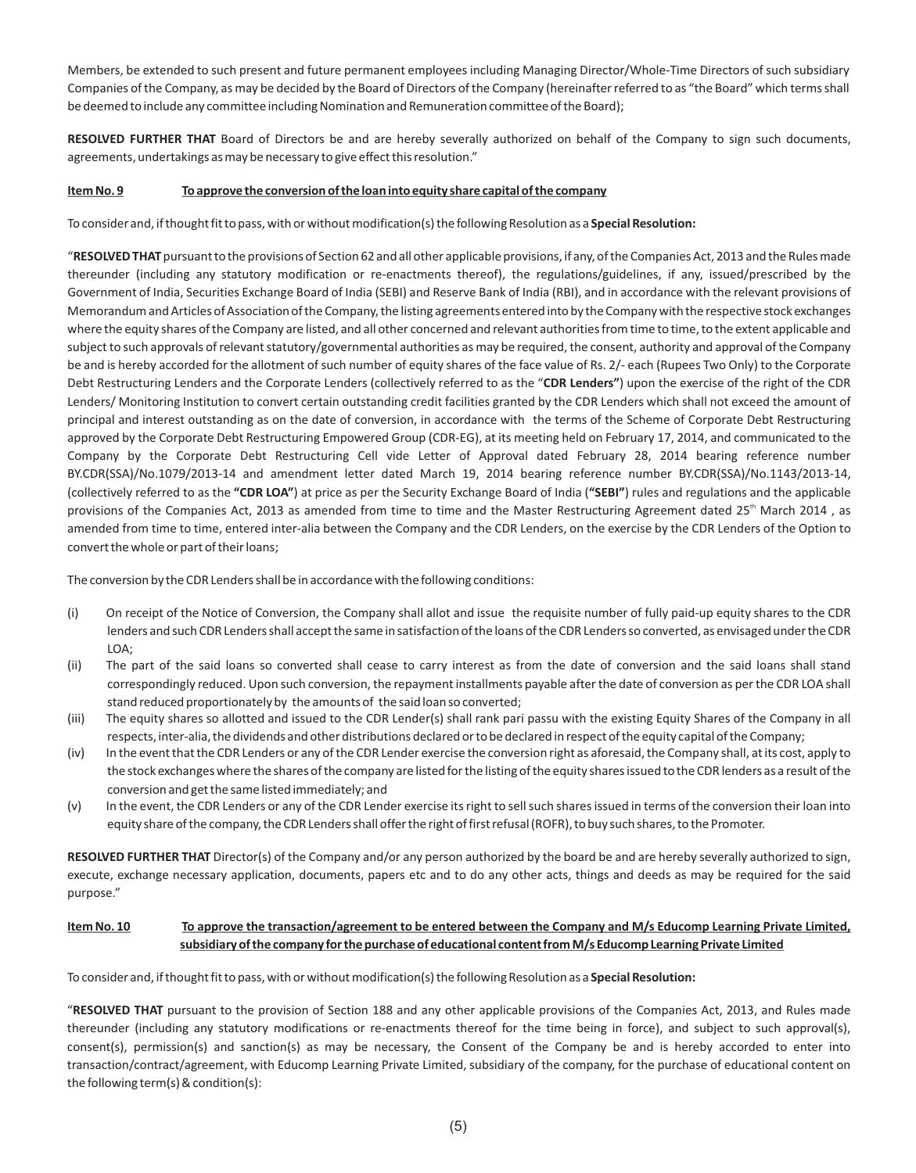Members, be extended to such present and future permanent employees including Managing Director/Whole-Time Directors of such subsidiary Companies of the Company, as may be decided by the Board of Directors of the Company (hereinafter referred to as "the Board" which terms shall be deemed to include any committee including Nomination and Remuneration committee of the Board);

**RESOLVED FURTHER THAT** Board of Directors be and are hereby severally authorized on behalf of the Company to sign such documents, agreements, undertakings as may be necessary to give effect this resolution."

#### **Item No. 9 To approve the conversion of the loan into equity share capital of the company**

To consider and, if thought fit to pass, with or without modification(s) the following Resolution as a **Special Resolution:**

"**RESOLVED THAT** pursuant to the provisions of Section 62 and all other applicable provisions, if any, of the Companies Act, 2013 and the Rules made thereunder (including any statutory modification or re-enactments thereof), the regulations/guidelines, if any, issued/prescribed by the Government of India, Securities Exchange Board of India (SEBI) and Reserve Bank of India (RBI), and in accordance with the relevant provisions of Memorandum and Articles of Association of the Company, the listing agreements entered into by the Company with the respective stock exchanges where the equity shares of the Company are listed, and all other concerned and relevant authorities from time to time, to the extent applicable and subject to such approvals of relevant statutory/governmental authorities as may be required, the consent, authority and approval of the Company be and is hereby accorded for the allotment of such number of equity shares of the face value of Rs. 2/- each (Rupees Two Only) to the Corporate Debt Restructuring Lenders and the Corporate Lenders (collectively referred to as the "**CDR Lenders"**) upon the exercise of the right of the CDR Lenders/ Monitoring Institution to convert certain outstanding credit facilities granted by the CDR Lenders which shall not exceed the amount of principal and interest outstanding as on the date of conversion, in accordance with the terms of the Scheme of Corporate Debt Restructuring approved by the Corporate Debt Restructuring Empowered Group (CDR-EG), at its meeting held on February 17, 2014, and communicated to the Company by the Corporate Debt Restructuring Cell vide Letter of Approval dated February 28, 2014 bearing reference number BY.CDR(SSA)/No.1079/2013-14 and amendment letter dated March 19, 2014 bearing reference number BY.CDR(SSA)/No.1143/2013-14, (collectively referred to as the **"CDR LOA"**) at price as per the Security Exchange Board of India (**"SEBI"**) rules and regulations and the applicable provisions of the Companies Act, 2013 as amended from time to time and the Master Restructuring Agreement dated 25<sup>th</sup> March 2014, as amended from time to time, entered inter-alia between the Company and the CDR Lenders, on the exercise by the CDR Lenders of the Option to convert the whole or part of their loans;

The conversion by the CDR Lenders shall be in accordance with the following conditions:

- (i) On receipt of the Notice of Conversion, the Company shall allot and issue the requisite number of fully paid-up equity shares to the CDR lenders and such CDR Lenders shall accept the same in satisfaction of the loans of the CDR Lenders so converted, as envisaged under the CDR  $I \cap A$
- (ii) The part of the said loans so converted shall cease to carry interest as from the date of conversion and the said loans shall stand correspondingly reduced. Upon such conversion, the repayment installments payable after the date of conversion as per the CDR LOA shall stand reduced proportionately by the amounts of the said loan so converted;
- (iii) The equity shares so allotted and issued to the CDR Lender(s) shall rank pari passu with the existing Equity Shares of the Company in all respects, inter-alia, the dividends and other distributions declared or to be declared in respect of the equity capital of the Company;
- (iv) In the event that the CDR Lenders or any of the CDR Lender exercise the conversion right as aforesaid, the Company shall, at its cost, apply to the stock exchanges where the shares of the company are listed for the listing of the equity shares issued to the CDR lenders as a result of the conversion and get the same listed immediately; and
- (v) In the event, the CDR Lenders or any of the CDR Lender exercise its right to sell such shares issued in terms of the conversion their loan into equity share of the company, the CDR Lenders shall offer the right of first refusal (ROFR), to buy such shares, to the Promoter.

**RESOLVED FURTHER THAT** Director(s) of the Company and/or any person authorized by the board be and are hereby severally authorized to sign, execute, exchange necessary application, documents, papers etc and to do any other acts, things and deeds as may be required for the said purpose."

#### **Item No. 10 To approve the transaction/agreement to be entered between the Company and M/s Educomp Learning Private Limited, subsidiary of the company for the purchase of educational content from M/s Educomp Learning Private Limited**

To consider and, if thought fit to pass, with or without modification(s) the following Resolution as a **Special Resolution:**

"**RESOLVED THAT** pursuant to the provision of Section 188 and any other applicable provisions of the Companies Act, 2013, and Rules made thereunder (including any statutory modifications or re-enactments thereof for the time being in force), and subject to such approval(s), consent(s), permission(s) and sanction(s) as may be necessary, the Consent of the Company be and is hereby accorded to enter into transaction/contract/agreement, with Educomp Learning Private Limited, subsidiary of the company, for the purchase of educational content on the following term(s) & condition(s):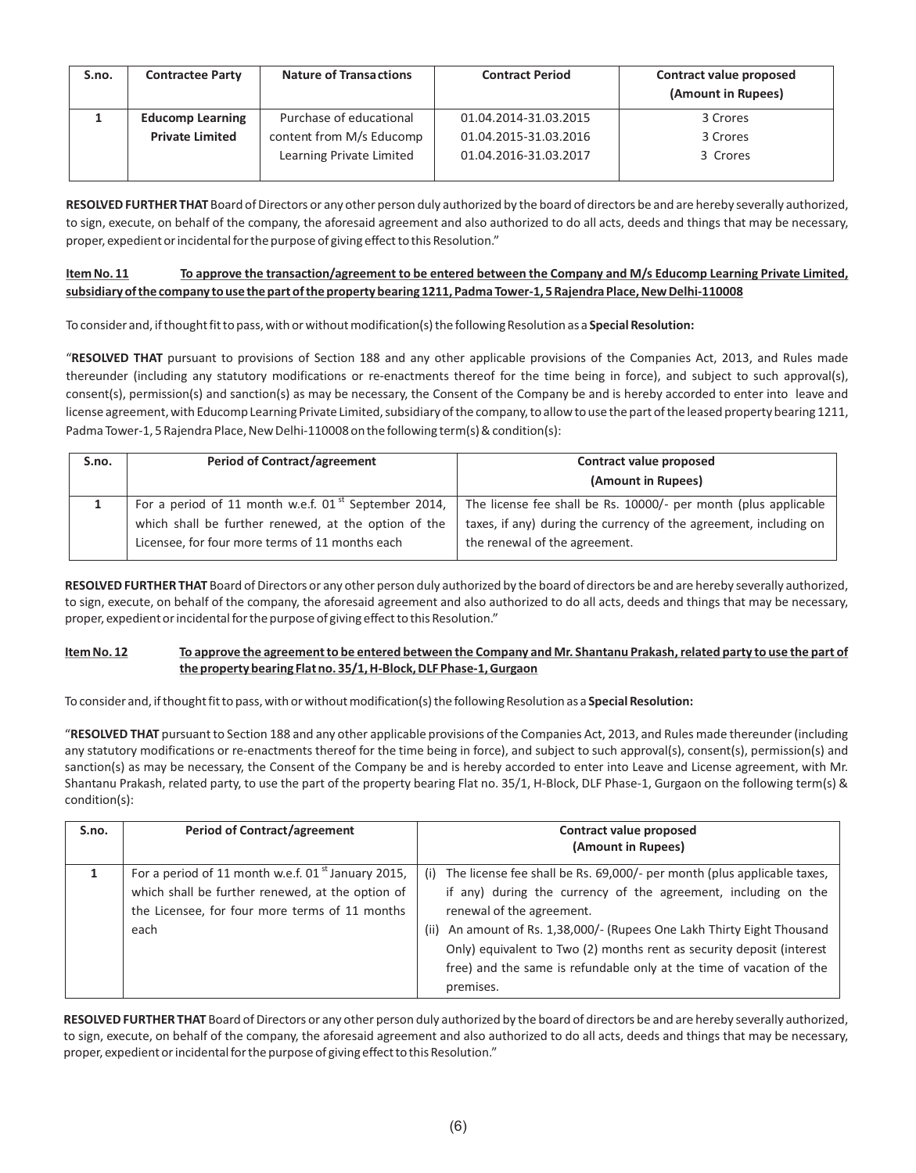| S.no. | <b>Contractee Party</b> | <b>Nature of Transactions</b> | <b>Contract Period</b> | <b>Contract value proposed</b><br>(Amount in Rupees) |
|-------|-------------------------|-------------------------------|------------------------|------------------------------------------------------|
|       | <b>Educomp Learning</b> | Purchase of educational       | 01.04.2014-31.03.2015  | 3 Crores                                             |
|       | <b>Private Limited</b>  | content from M/s Educomp      | 01.04.2015-31.03.2016  | 3 Crores                                             |
|       |                         | Learning Private Limited      | 01.04.2016-31.03.2017  | 3 Crores                                             |
|       |                         |                               |                        |                                                      |

**RESOLVED FURTHER THAT** Board of Directors or any other person duly authorized by the board of directors be and are hereby severally authorized, to sign, execute, on behalf of the company, the aforesaid agreement and also authorized to do all acts, deeds and things that may be necessary, proper, expedient or incidental for the purpose of giving effect to this Resolution."

# **Item No. 11 To approve the transaction/agreement to be entered between the Company and M/s Educomp Learning Private Limited, subsidiary of the company to use the part of the property bearing 1211, Padma Tower-1, 5 Rajendra Place, New Delhi-110008**

To consider and, if thought fit to pass, with or without modification(s) the following Resolution as a **Special Resolution:**

"**RESOLVED THAT** pursuant to provisions of Section 188 and any other applicable provisions of the Companies Act, 2013, and Rules made thereunder (including any statutory modifications or re-enactments thereof for the time being in force), and subject to such approval(s), consent(s), permission(s) and sanction(s) as may be necessary, the Consent of the Company be and is hereby accorded to enter into leave and license agreement, with Educomp Learning Private Limited, subsidiary of the company, to allow to use the part of the leased property bearing 1211, Padma Tower-1, 5 Rajendra Place, New Delhi-110008 on the following term(s) & condition(s):

| S.no. | <b>Period of Contract/agreement</b><br>Contract value proposed                                                            |                                                                 |  |
|-------|---------------------------------------------------------------------------------------------------------------------------|-----------------------------------------------------------------|--|
|       | (Amount in Rupees)                                                                                                        |                                                                 |  |
|       | For a period of 11 month w.e.f. $01^{st}$ September 2014,                                                                 | The license fee shall be Rs. 10000/- per month (plus applicable |  |
|       | which shall be further renewed, at the option of the<br>taxes, if any) during the currency of the agreement, including on |                                                                 |  |
|       | Licensee, for four more terms of 11 months each                                                                           | the renewal of the agreement.                                   |  |

**RESOLVED FURTHER THAT** Board of Directors or any other person duly authorized by the board of directors be and are hereby severally authorized, to sign, execute, on behalf of the company, the aforesaid agreement and also authorized to do all acts, deeds and things that may be necessary, proper, expedient or incidental for the purpose of giving effect to this Resolution."

# Item No. 12 To approve the agreement to be entered between the Company and Mr. Shantanu Prakash, related party to use the part of **the property bearing Flat no. 35/1, H-Block, DLF Phase-1, Gurgaon**

To consider and, if thought fit to pass, with or without modification(s) the following Resolution as a **Special Resolution:**

"**RESOLVED THAT** pursuant to Section 188 and any other applicable provisions of the Companies Act, 2013, and Rules made thereunder (including any statutory modifications or re-enactments thereof for the time being in force), and subject to such approval(s), consent(s), permission(s) and sanction(s) as may be necessary, the Consent of the Company be and is hereby accorded to enter into Leave and License agreement, with Mr. Shantanu Prakash, related party, to use the part of the property bearing Flat no. 35/1, H-Block, DLF Phase-1, Gurgaon on the following term(s) & condition(s):

| S.no. | <b>Period of Contract/agreement</b>                                                                                                                                           | Contract value proposed<br>(Amount in Rupees)                                                                                                                                                                                                                                                                                                                                                                             |
|-------|-------------------------------------------------------------------------------------------------------------------------------------------------------------------------------|---------------------------------------------------------------------------------------------------------------------------------------------------------------------------------------------------------------------------------------------------------------------------------------------------------------------------------------------------------------------------------------------------------------------------|
|       | For a period of 11 month w.e.f. 01 $^{\text{st}}$ January 2015,<br>which shall be further renewed, at the option of<br>the Licensee, for four more terms of 11 months<br>each | The license fee shall be Rs. 69,000/- per month (plus applicable taxes,<br>(i)<br>if any) during the currency of the agreement, including on the<br>renewal of the agreement.<br>An amount of Rs. 1,38,000/- (Rupees One Lakh Thirty Eight Thousand<br>(ii)<br>Only) equivalent to Two (2) months rent as security deposit (interest<br>free) and the same is refundable only at the time of vacation of the<br>premises. |

**RESOLVED FURTHER THAT** Board of Directors or any other person duly authorized by the board of directors be and are hereby severally authorized, to sign, execute, on behalf of the company, the aforesaid agreement and also authorized to do all acts, deeds and things that may be necessary, proper, expedient or incidental for the purpose of giving effect to this Resolution."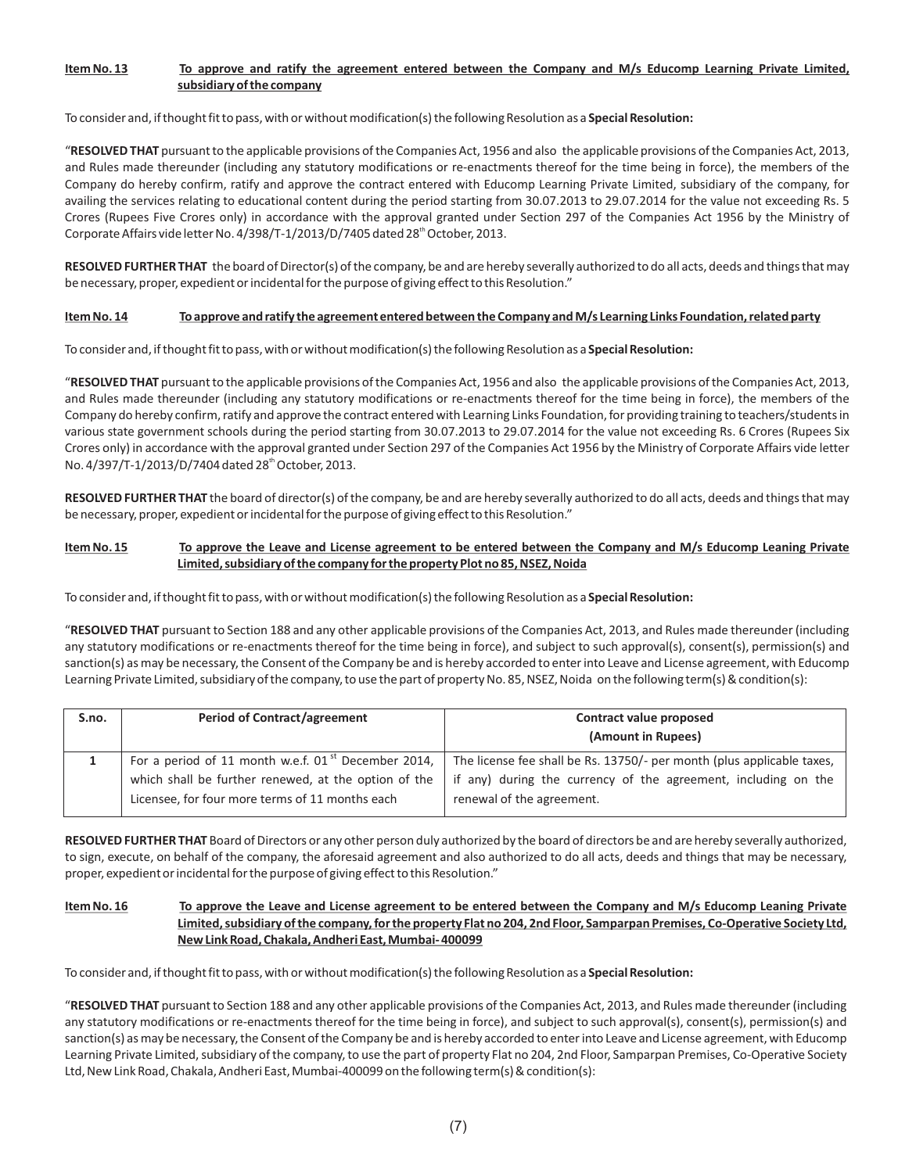# **Item No. 13 To approve and ratify the agreement entered between the Company and M/s Educomp Learning Private Limited, subsidiary of the company**

To consider and, if thought fit to pass, with or without modification(s) the following Resolution as a **Special Resolution:**

"**RESOLVED THAT** pursuant to the applicable provisions of the Companies Act, 1956 and also the applicable provisions of the Companies Act, 2013, and Rules made thereunder (including any statutory modifications or re-enactments thereof for the time being in force), the members of the Company do hereby confirm, ratify and approve the contract entered with Educomp Learning Private Limited, subsidiary of the company, for availing the services relating to educational content during the period starting from 30.07.2013 to 29.07.2014 for the value not exceeding Rs. 5 Crores (Rupees Five Crores only) in accordance with the approval granted under Section 297 of the Companies Act 1956 by the Ministry of Corporate Affairs vide letter No. 4/398/T-1/2013/D/7405 dated 28<sup>th</sup> October, 2013.

**RESOLVED FURTHER THAT** the board of Director(s) of the company, be and are hereby severally authorized to do all acts, deeds and things that may be necessary, proper, expedient or incidental for the purpose of giving effect to this Resolution."

#### Item No. 14 To approve and ratify the agreement entered between the Company and M/s Learning Links Foundation, related party

To consider and, if thought fit to pass, with or without modification(s) the following Resolution as a **Special Resolution:**

"**RESOLVED THAT** pursuant to the applicable provisions of the Companies Act, 1956 and also the applicable provisions of the Companies Act, 2013, and Rules made thereunder (including any statutory modifications or re-enactments thereof for the time being in force), the members of the Company do hereby confirm, ratify and approve the contract entered with Learning Links Foundation, for providing training to teachers/students in various state government schools during the period starting from 30.07.2013 to 29.07.2014 for the value not exceeding Rs. 6 Crores (Rupees Six Crores only) in accordance with the approval granted under Section 297 of the Companies Act 1956 by the Ministry of Corporate Affairs vide letter No. 4/397/T-1/2013/D/7404 dated 28" October, 2013.

**RESOLVED FURTHER THAT** the board of director(s) of the company, be and are hereby severally authorized to do all acts, deeds and things that may be necessary, proper, expedient or incidental for the purpose of giving effect to this Resolution."

#### **Item No. 15 To approve the Leave and License agreement to be entered between the Company and M/s Educomp Leaning Private Limited, subsidiary of the company for the property Plot no 85, NSEZ, Noida**

To consider and, if thought fit to pass, with or without modification(s) the following Resolution as a **Special Resolution:**

"**RESOLVED THAT** pursuant to Section 188 and any other applicable provisions of the Companies Act, 2013, and Rules made thereunder (including any statutory modifications or re-enactments thereof for the time being in force), and subject to such approval(s), consent(s), permission(s) and sanction(s) as may be necessary, the Consent of the Company be and is hereby accorded to enter into Leave and License agreement, with Educomp Learning Private Limited, subsidiary of the company, to use the part of property No. 85, NSEZ, Noida on the following term(s) & condition(s):

| S.no. | <b>Period of Contract/agreement</b><br>Contract value proposed   |                                                                        |
|-------|------------------------------------------------------------------|------------------------------------------------------------------------|
|       |                                                                  | (Amount in Rupees)                                                     |
|       | For a period of 11 month w.e.f. 01 $^{\text{st}}$ December 2014, | The license fee shall be Rs. 13750/- per month (plus applicable taxes, |
|       | which shall be further renewed, at the option of the             | if any) during the currency of the agreement, including on the         |
|       | Licensee, for four more terms of 11 months each                  | renewal of the agreement.                                              |

**RESOLVED FURTHER THAT** Board of Directors or any other person duly authorized by the board of directors be and are hereby severally authorized, to sign, execute, on behalf of the company, the aforesaid agreement and also authorized to do all acts, deeds and things that may be necessary, proper, expedient or incidental for the purpose of giving effect to this Resolution."

#### **Item No. 16 To approve the Leave and License agreement to be entered between the Company and M/s Educomp Leaning Private Limited, subsidiary of the company, for the property Flat no 204, 2nd Floor, Samparpan Premises, Co-Operative Society Ltd, New Link Road, Chakala, Andheri East, Mumbai- 400099**

To consider and, if thought fit to pass, with or without modification(s) the following Resolution as a **Special Resolution:**

"**RESOLVED THAT** pursuant to Section 188 and any other applicable provisions of the Companies Act, 2013, and Rules made thereunder (including any statutory modifications or re-enactments thereof for the time being in force), and subject to such approval(s), consent(s), permission(s) and sanction(s) as may be necessary, the Consent of the Company be and is hereby accorded to enter into Leave and License agreement, with Educomp Learning Private Limited, subsidiary of the company, to use the part of property Flat no 204, 2nd Floor, Samparpan Premises, Co-Operative Society Ltd, New Link Road, Chakala, Andheri East, Mumbai-400099 on the following term(s) & condition(s):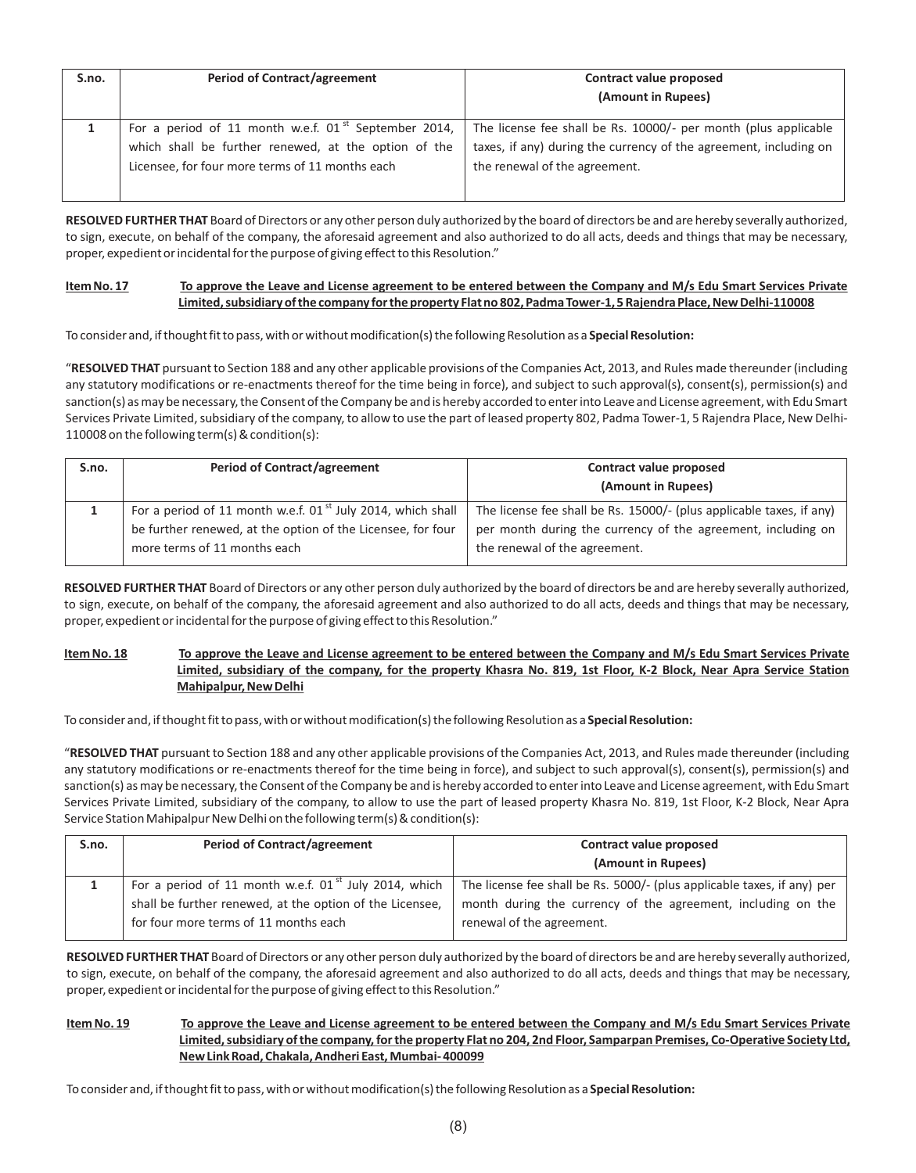| S.no. | <b>Period of Contract/agreement</b>                                                                                                                                         | Contract value proposed<br>(Amount in Rupees)                                                                                                                         |
|-------|-----------------------------------------------------------------------------------------------------------------------------------------------------------------------------|-----------------------------------------------------------------------------------------------------------------------------------------------------------------------|
|       | For a period of 11 month w.e.f. 01 <sup>st</sup> September 2014,<br>which shall be further renewed, at the option of the<br>Licensee, for four more terms of 11 months each | The license fee shall be Rs. 10000/- per month (plus applicable<br>taxes, if any) during the currency of the agreement, including on<br>the renewal of the agreement. |

**RESOLVED FURTHER THAT** Board of Directors or any other person duly authorized by the board of directors be and are hereby severally authorized, to sign, execute, on behalf of the company, the aforesaid agreement and also authorized to do all acts, deeds and things that may be necessary, proper, expedient or incidental for the purpose of giving effect to this Resolution."

# **Item No. 17 To approve the Leave and License agreement to be entered between the Company and M/s Edu Smart Services Private Limited, subsidiary of the company for the property Flat no 802, Padma Tower-1, 5 Rajendra Place, New Delhi-110008**

To consider and, if thought fit to pass, with or without modification(s) the following Resolution as a **Special Resolution:**

"**RESOLVED THAT** pursuant to Section 188 and any other applicable provisions of the Companies Act, 2013, and Rules made thereunder (including any statutory modifications or re-enactments thereof for the time being in force), and subject to such approval(s), consent(s), permission(s) and sanction(s) as may be necessary, the Consent of the Company be and is hereby accorded to enter into Leave and License agreement, with Edu Smart Services Private Limited, subsidiary of the company, to allow to use the part of leased property 802, Padma Tower-1, 5 Rajendra Place, New Delhi-110008 on the following term(s) & condition(s):

| S.no. | <b>Period of Contract/agreement</b>                                     | Contract value proposed                                              |  |
|-------|-------------------------------------------------------------------------|----------------------------------------------------------------------|--|
|       |                                                                         | (Amount in Rupees)                                                   |  |
|       | For a period of 11 month w.e.f. 01 <sup>st</sup> July 2014, which shall | The license fee shall be Rs. 15000/- (plus applicable taxes, if any) |  |
|       | be further renewed, at the option of the Licensee, for four             | per month during the currency of the agreement, including on         |  |
|       | more terms of 11 months each                                            | the renewal of the agreement.                                        |  |

**RESOLVED FURTHER THAT** Board of Directors or any other person duly authorized by the board of directors be and are hereby severally authorized, to sign, execute, on behalf of the company, the aforesaid agreement and also authorized to do all acts, deeds and things that may be necessary, proper, expedient or incidental for the purpose of giving effect to this Resolution."

# **Item No. 18 To approve the Leave and License agreement to be entered between the Company and M/s Edu Smart Services Private Limited, subsidiary of the company, for the property Khasra No. 819, 1st Floor, K-2 Block, Near Apra Service Station Mahipalpur, New Delhi**

To consider and, if thought fit to pass, with or without modification(s) the following Resolution as a **Special Resolution:**

"**RESOLVED THAT** pursuant to Section 188 and any other applicable provisions of the Companies Act, 2013, and Rules made thereunder (including any statutory modifications or re-enactments thereof for the time being in force), and subject to such approval(s), consent(s), permission(s) and sanction(s) as may be necessary, the Consent of the Company be and is hereby accorded to enter into Leave and License agreement, with Edu Smart Services Private Limited, subsidiary of the company, to allow to use the part of leased property Khasra No. 819, 1st Floor, K-2 Block, Near Apra Service Station Mahipalpur New Delhi on the following term(s) & condition(s):

| S.no. | <b>Period of Contract/agreement</b>                      | Contract value proposed                                                 |  |
|-------|----------------------------------------------------------|-------------------------------------------------------------------------|--|
|       | (Amount in Rupees)                                       |                                                                         |  |
|       | For a period of 11 month w.e.f. $01st$ July 2014, which  | The license fee shall be Rs. 5000/- (plus applicable taxes, if any) per |  |
|       | shall be further renewed, at the option of the Licensee, | month during the currency of the agreement, including on the            |  |
|       | for four more terms of 11 months each                    | renewal of the agreement.                                               |  |

**RESOLVED FURTHER THAT** Board of Directors or any other person duly authorized by the board of directors be and are hereby severally authorized, to sign, execute, on behalf of the company, the aforesaid agreement and also authorized to do all acts, deeds and things that may be necessary, proper, expedient or incidental for the purpose of giving effect to this Resolution."

# **Item No. 19 To approve the Leave and License agreement to be entered between the Company and M/s Edu Smart Services Private Limited, subsidiary of the company, for the property Flat no 204, 2nd Floor, Samparpan Premises, Co-Operative Society Ltd, New Link Road, Chakala, Andheri East, Mumbai- 400099**

To consider and, if thought fit to pass, with or without modification(s) the following Resolution as a **Special Resolution:**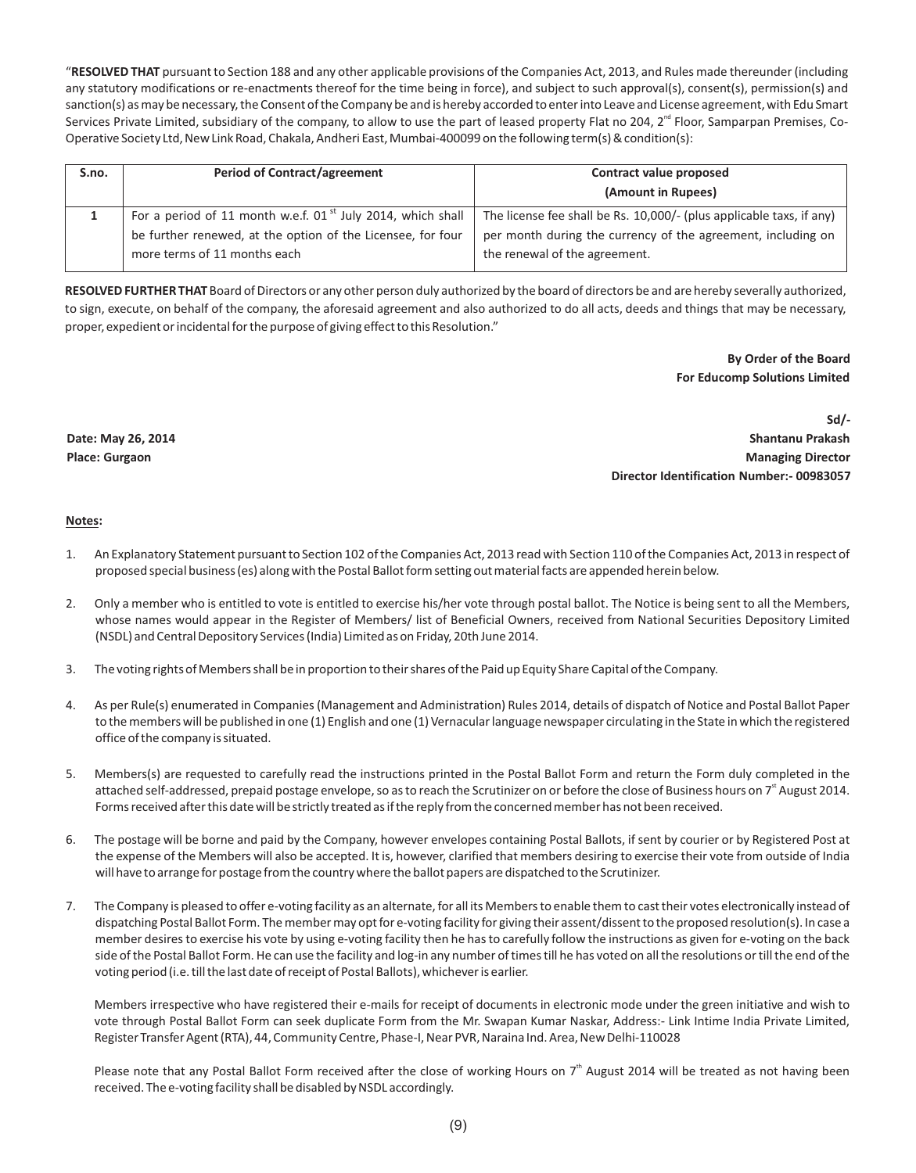"**RESOLVED THAT** pursuant to Section 188 and any other applicable provisions of the Companies Act, 2013, and Rules made thereunder (including any statutory modifications or re-enactments thereof for the time being in force), and subject to such approval(s), consent(s), permission(s) and sanction(s) as may be necessary, the Consent of the Company be and is hereby accorded to enter into Leave and License agreement, with Edu Smart Services Private Limited, subsidiary of the company, to allow to use the part of leased property Flat no 204,  $2<sup>nd</sup>$  Floor, Samparpan Premises, Co-Operative Society Ltd, New Link Road, Chakala, Andheri East, Mumbai-400099 on the following term(s) & condition(s):

| S.no. | <b>Period of Contract/agreement</b>                                                         | Contract value proposed<br>(Amount in Rupees)                        |  |
|-------|---------------------------------------------------------------------------------------------|----------------------------------------------------------------------|--|
|       | For a period of 11 month w.e.f. $01^{st}$ July 2014, which shall                            | The license fee shall be Rs. 10,000/- (plus applicable taxs, if any) |  |
|       | be further renewed, at the option of the Licensee, for four<br>more terms of 11 months each | per month during the currency of the agreement, including on         |  |
|       |                                                                                             | the renewal of the agreement.                                        |  |

**RESOLVED FURTHER THAT** Board of Directors or any other person duly authorized by the board of directors be and are hereby severally authorized, to sign, execute, on behalf of the company, the aforesaid agreement and also authorized to do all acts, deeds and things that may be necessary, proper, expedient or incidental for the purpose of giving effect to this Resolution."

> **By Order of the Board For Educomp Solutions Limited**

**Date: May 26, 2014 Place: Gurgaon**

**Sd/- Shantanu Prakash Managing Director Director Identification Number:- 00983057**

#### **Notes:**

- 1. An Explanatory Statement pursuant to Section 102 of the Companies Act, 2013 read with Section 110 of the Companies Act, 2013 in respect of proposed special business (es) along with the Postal Ballot form setting out material facts are appended herein below.
- 2. Only a member who is entitled to vote is entitled to exercise his/her vote through postal ballot. The Notice is being sent to all the Members, whose names would appear in the Register of Members/ list of Beneficial Owners, received from National Securities Depository Limited (NSDL) and Central Depository Services (India) Limited as on Friday, 20th June 2014.
- 3. The voting rights of Members shall be in proportion to their shares of the Paid up Equity Share Capital of the Company.
- 4. As per Rule(s) enumerated in Companies (Management and Administration) Rules 2014, details of dispatch of Notice and Postal Ballot Paper to the members will be published in one (1) English and one (1) Vernacular language newspaper circulating in the State in which the registered office of the company is situated.
- 5. Members(s) are requested to carefully read the instructions printed in the Postal Ballot Form and return the Form duly completed in the attached self-addressed, prepaid postage envelope, so as to reach the Scrutinizer on or before the close of Business hours on 7<sup>t</sup> August 2014. Forms received after this date will be strictly treated as if the reply from the concerned member has not been received.
- 6. The postage will be borne and paid by the Company, however envelopes containing Postal Ballots, if sent by courier or by Registered Post at the expense of the Members will also be accepted. It is, however, clarified that members desiring to exercise their vote from outside of India will have to arrange for postage from the country where the ballot papers are dispatched to the Scrutinizer.
- 7. The Company is pleased to offer e-voting facility as an alternate, for all its Members to enable them to cast their votes electronically instead of dispatching Postal Ballot Form. The member may opt for e-voting facility for giving their assent/dissent to the proposed resolution(s). In case a member desires to exercise his vote by using e-voting facility then he has to carefully follow the instructions as given for e-voting on the back side of the Postal Ballot Form. He can use the facility and log-in any number of times till he has voted on all the resolutions or till the end of the voting period (i.e. till the last date of receipt of Postal Ballots), whichever is earlier.

Members irrespective who have registered their e-mails for receipt of documents in electronic mode under the green initiative and wish to vote through Postal Ballot Form can seek duplicate Form from the Mr. Swapan Kumar Naskar, Address:- Link Intime India Private Limited, Register Transfer Agent (RTA), 44, Community Centre, Phase-I, Near PVR, Naraina Ind. Area, New Delhi-110028

Please note that any Postal Ballot Form received after the close of working Hours on 7<sup>th</sup> August 2014 will be treated as not having been received. The e-voting facility shall be disabled by NSDL accordingly.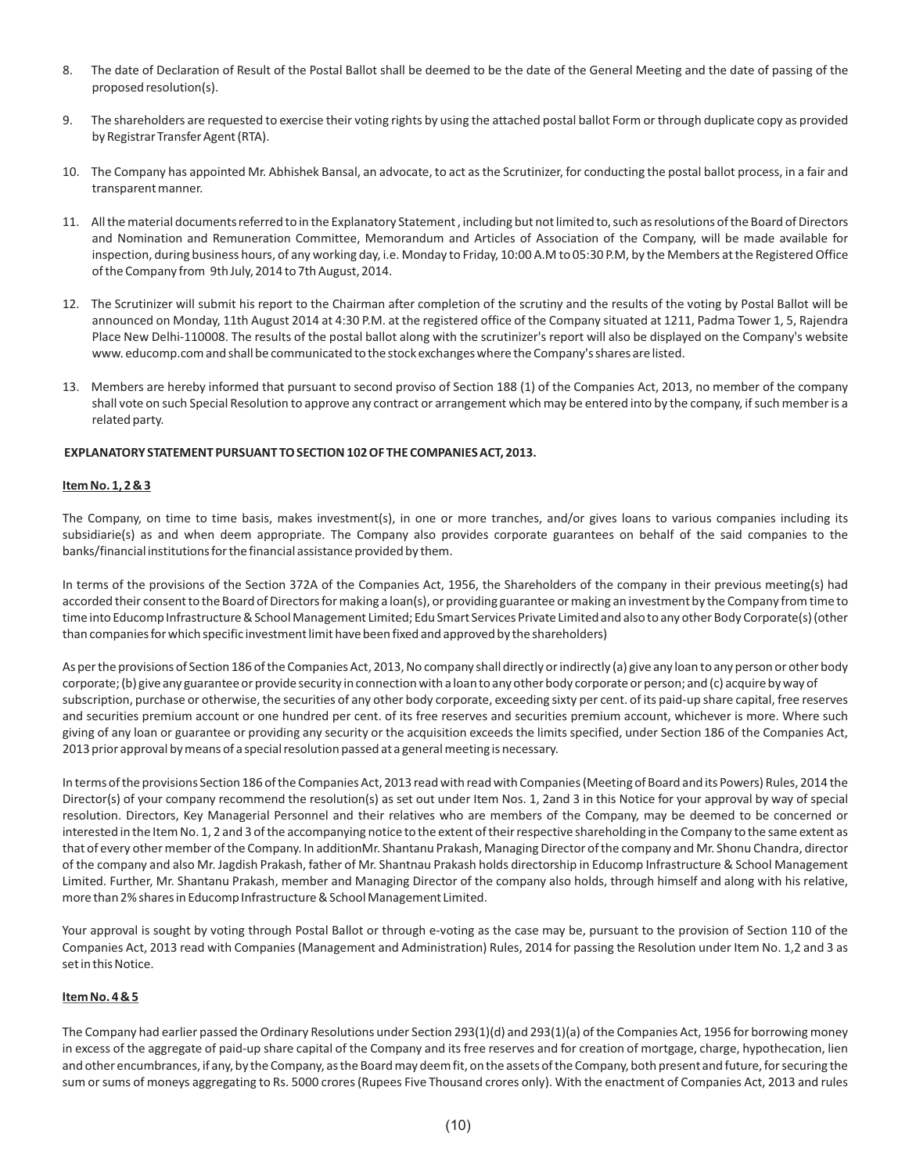- 8. The date of Declaration of Result of the Postal Ballot shall be deemed to be the date of the General Meeting and the date of passing of the proposed resolution(s).
- 9. The shareholders are requested to exercise their voting rights by using the attached postal ballot Form or through duplicate copy as provided by Registrar Transfer Agent (RTA).
- 10. The Company has appointed Mr. Abhishek Bansal, an advocate, to act as the Scrutinizer, for conducting the postal ballot process, in a fair and transparent manner.
- 11. All the material documents referred to in the Explanatory Statement , including but not limited to, such as resolutions of the Board of Directors and Nomination and Remuneration Committee, Memorandum and Articles of Association of the Company, will be made available for inspection, during business hours, of any working day, i.e. Monday to Friday, 10:00 A.M to 05:30 P.M, by the Members at the Registered Office of the Company from 9th July, 2014 to 7th August, 2014.
- 12. The Scrutinizer will submit his report to the Chairman after completion of the scrutiny and the results of the voting by Postal Ballot will be announced on Monday, 11th August 2014 at 4:30 P.M. at the registered office of the Company situated at 1211, Padma Tower 1, 5, Rajendra Place New Delhi-110008. The results of the postal ballot along with the scrutinizer's report will also be displayed on the Company's website www. educomp.com and shall be communicated to the stock exchanges where the Company's shares are listed.
- 13. Members are hereby informed that pursuant to second proviso of Section 188 (1) of the Companies Act, 2013, no member of the company shall vote on such Special Resolution to approve any contract or arrangement which may be entered into by the company, if such member is a related party.

#### **EXPLANATORY STATEMENT PURSUANT TO SECTION 102 OF THE COMPANIES ACT, 2013.**

#### **Item No. 1, 2 & 3**

The Company, on time to time basis, makes investment(s), in one or more tranches, and/or gives loans to various companies including its subsidiarie(s) as and when deem appropriate. The Company also provides corporate guarantees on behalf of the said companies to the banks/financial institutions for the financial assistance provided by them.

In terms of the provisions of the Section 372A of the Companies Act, 1956, the Shareholders of the company in their previous meeting(s) had accorded their consent to the Board of Directors for making a loan(s), or providing guarantee or making an investment by the Company from time to time into Educomp Infrastructure & School Management Limited; Edu Smart Services Private Limited and also to any other Body Corporate(s) (other than companies for which specific investment limit have been fixed and approved by the shareholders)

As per the provisions of Section 186 of the Companies Act, 2013, No company shall directly or indirectly (a) give any loan to any person or other body corporate; (b) give any guarantee or provide security in connection with a loan to any other body corporate or person; and (c) acquire by way of subscription, purchase or otherwise, the securities of any other body corporate, exceeding sixty per cent. of its paid-up share capital, free reserves and securities premium account or one hundred per cent. of its free reserves and securities premium account, whichever is more. Where such giving of any loan or guarantee or providing any security or the acquisition exceeds the limits specified, under Section 186 of the Companies Act, 2013 prior approval by means of a special resolution passed at a general meeting is necessary.

In terms of the provisions Section 186 of the Companies Act, 2013 read with read with Companies (Meeting of Board and its Powers) Rules, 2014 the Director(s) of your company recommend the resolution(s) as set out under Item Nos. 1, 2and 3 in this Notice for your approval by way of special resolution. Directors, Key Managerial Personnel and their relatives who are members of the Company, may be deemed to be concerned or interested in the Item No. 1, 2 and 3 of the accompanying notice to the extent of their respective shareholding in the Company to the same extent as that of every other member of the Company. In additionMr. Shantanu Prakash, Managing Director of the company and Mr. Shonu Chandra, director of the company and also Mr. Jagdish Prakash, father of Mr. Shantnau Prakash holds directorship in Educomp Infrastructure & School Management Limited. Further, Mr. Shantanu Prakash, member and Managing Director of the company also holds, through himself and along with his relative, more than 2% shares in Educomp Infrastructure & School Management Limited.

Your approval is sought by voting through Postal Ballot or through e-voting as the case may be, pursuant to the provision of Section 110 of the Companies Act, 2013 read with Companies (Management and Administration) Rules, 2014 for passing the Resolution under Item No. 1,2 and 3 as set in this Notice.

#### **Item No. 4 & 5**

The Company had earlier passed the Ordinary Resolutions under Section 293(1)(d) and 293(1)(a) of the Companies Act, 1956 for borrowing money in excess of the aggregate of paid-up share capital of the Company and its free reserves and for creation of mortgage, charge, hypothecation, lien and other encumbrances, if any, by the Company, as the Board may deem fit, on the assets of the Company, both present and future, for securing the sum or sums of moneys aggregating to Rs. 5000 crores (Rupees Five Thousand crores only). With the enactment of Companies Act, 2013 and rules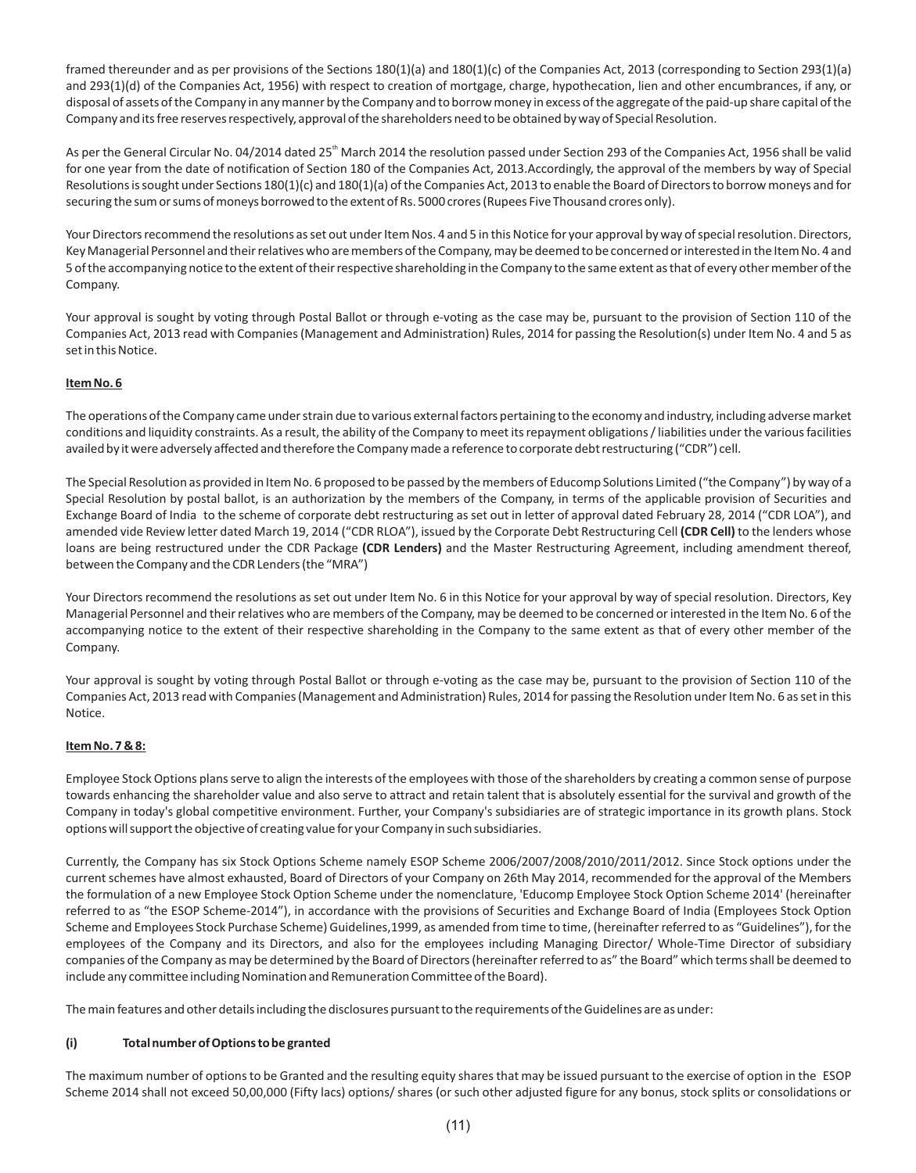framed thereunder and as per provisions of the Sections 180(1)(a) and 180(1)(c) of the Companies Act, 2013 (corresponding to Section 293(1)(a) and 293(1)(d) of the Companies Act, 1956) with respect to creation of mortgage, charge, hypothecation, lien and other encumbrances, if any, or disposal of assets of the Company in any manner by the Company and to borrow money in excess of the aggregate of the paid-up share capital of the Company and its free reserves respectively, approval of the shareholders need to be obtained by way of Special Resolution.

As per the General Circular No. 04/2014 dated 25<sup>th</sup> March 2014 the resolution passed under Section 293 of the Companies Act, 1956 shall be valid for one year from the date of notification of Section 180 of the Companies Act, 2013.Accordingly, the approval of the members by way of Special Resolutions is sought under Sections 180(1)(c) and 180(1)(a) of the Companies Act, 2013 to enable the Board of Directors to borrow moneys and for securing the sum or sums of moneys borrowed to the extent of Rs. 5000 crores (Rupees Five Thousand crores only).

Your Directors recommend the resolutions as set out under Item Nos. 4 and 5 in this Notice for your approval by way of special resolution. Directors, Key Managerial Personnel and their relatives who are members of the Company, may be deemed to be concerned or interested in the Item No. 4 and 5 of the accompanying notice to the extent of their respective shareholding in the Company to the same extent as that of every other member of the Company.

Your approval is sought by voting through Postal Ballot or through e-voting as the case may be, pursuant to the provision of Section 110 of the Companies Act, 2013 read with Companies (Management and Administration) Rules, 2014 for passing the Resolution(s) under Item No. 4 and 5 as set in this Notice.

# **Item No. 6**

The operations of the Company came under strain due to various external factors pertaining to the economy and industry, including adverse market conditions and liquidity constraints. As a result, the ability of the Company to meet its repayment obligations / liabilities under the various facilities availed by it were adversely affected and therefore the Company made a reference to corporate debt restructuring ("CDR") cell.

The Special Resolution as provided in Item No. 6 proposed to be passed by the members of Educomp Solutions Limited ("the Company") by way of a Special Resolution by postal ballot, is an authorization by the members of the Company, in terms of the applicable provision of Securities and Exchange Board of India to the scheme of corporate debt restructuring as set out in letter of approval dated February 28, 2014 ("CDR LOA"), and amended vide Review letter dated March 19, 2014 ("CDR RLOA"), issued by the Corporate Debt Restructuring Cell **(CDR Cell)** to the lenders whose loans are being restructured under the CDR Package **(CDR Lenders)** and the Master Restructuring Agreement, including amendment thereof, between the Company and the CDR Lenders (the "MRA")

Your Directors recommend the resolutions as set out under Item No. 6 in this Notice for your approval by way of special resolution. Directors, Key Managerial Personnel and their relatives who are members of the Company, may be deemed to be concerned or interested in the Item No. 6 of the accompanying notice to the extent of their respective shareholding in the Company to the same extent as that of every other member of the Company.

Your approval is sought by voting through Postal Ballot or through e-voting as the case may be, pursuant to the provision of Section 110 of the Companies Act, 2013 read with Companies (Management and Administration) Rules, 2014 for passing the Resolution under Item No. 6 as set in this Notice.

#### **Item No. 7 & 8:**

Employee Stock Options plans serve to align the interests of the employees with those of the shareholders by creating a common sense of purpose towards enhancing the shareholder value and also serve to attract and retain talent that is absolutely essential for the survival and growth of the Company in today's global competitive environment. Further, your Company's subsidiaries are of strategic importance in its growth plans. Stock options will support the objective of creating value for your Company in such subsidiaries.

Currently, the Company has six Stock Options Scheme namely ESOP Scheme 2006/2007/2008/2010/2011/2012. Since Stock options under the current schemes have almost exhausted, Board of Directors of your Company on 26th May 2014, recommended for the approval of the Members the formulation of a new Employee Stock Option Scheme under the nomenclature, 'Educomp Employee Stock Option Scheme 2014' (hereinafter referred to as "the ESOP Scheme-2014"), in accordance with the provisions of Securities and Exchange Board of India (Employees Stock Option Scheme and Employees Stock Purchase Scheme) Guidelines,1999, as amended from time to time, (hereinafter referred to as "Guidelines"), for the employees of the Company and its Directors, and also for the employees including Managing Director/ Whole-Time Director of subsidiary companies of the Company as may be determined by the Board of Directors (hereinafter referred to as" the Board" which terms shall be deemed to include any committee including Nomination and Remuneration Committee of the Board).

The main features and other details including the disclosures pursuant to the requirements of the Guidelines are as under:

#### **(i) Total number of Options to be granted**

The maximum number of options to be Granted and the resulting equity shares that may be issued pursuant to the exercise of option in the ESOP Scheme 2014 shall not exceed 50,00,000 (Fifty lacs) options/ shares (or such other adjusted figure for any bonus, stock splits or consolidations or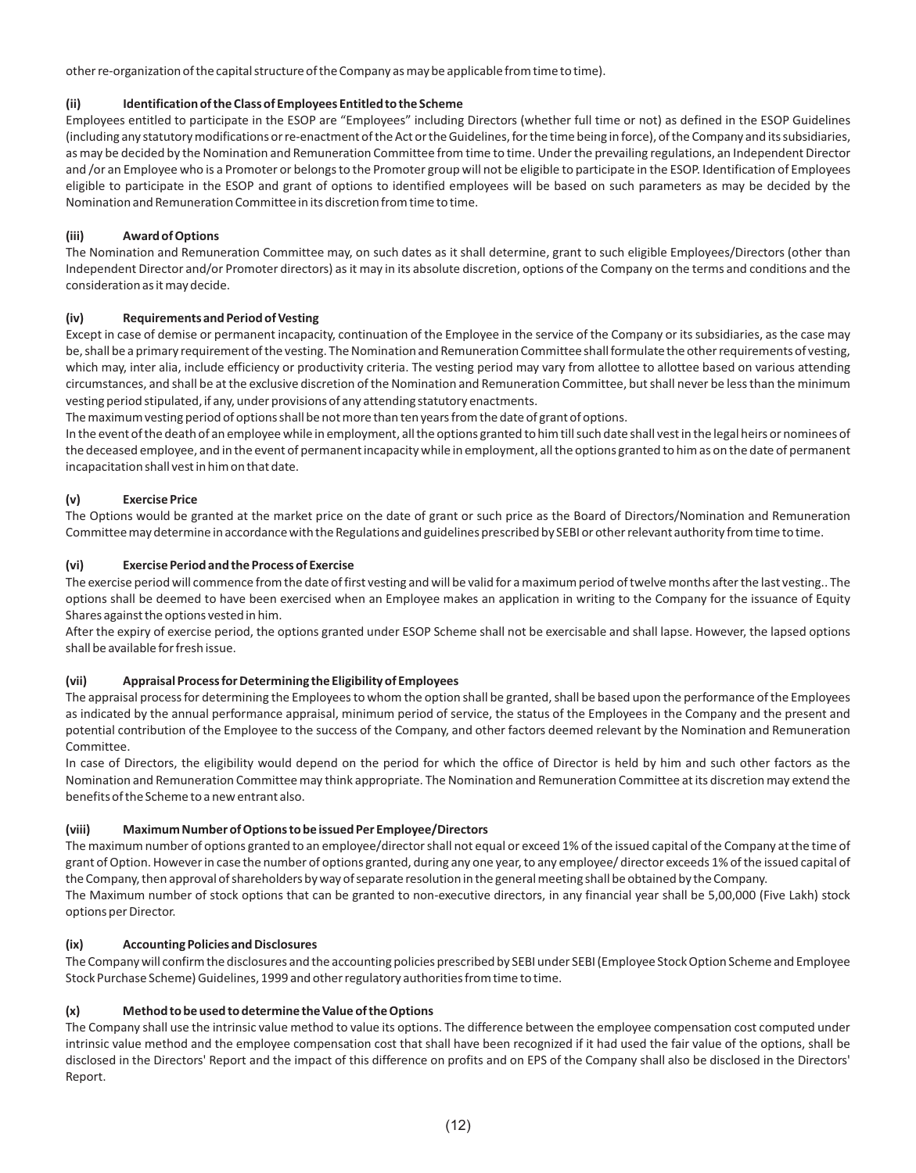other re-organization of the capital structure of the Company as may be applicable from time to time).

#### **(ii) Identification of the Class of Employees Entitledto the Scheme**

Employees entitled to participate in the ESOP are "Employees" including Directors (whether full time or not) as defined in the ESOP Guidelines (including any statutory modifications or re-enactment of the Act or the Guidelines, for the time being in force), of the Company and its subsidiaries, as may be decided by the Nomination and Remuneration Committee from time to time. Under the prevailing regulations, an Independent Director and /or an Employee who is a Promoter or belongs to the Promoter group will not be eligible to participate in the ESOP. Identification of Employees eligible to participate in the ESOP and grant of options to identified employees will be based on such parameters as may be decided by the Nomination and Remuneration Committee in its discretion from time to time.

# **(iii) Award of Options**

The Nomination and Remuneration Committee may, on such dates as it shall determine, grant to such eligible Employees/Directors (other than Independent Director and/or Promoter directors) as it may in its absolute discretion, options of the Company on the terms and conditions and the consideration as it may decide.

# **(iv) Requirements and Period of Vesting**

Except in case of demise or permanent incapacity, continuation of the Employee in the service of the Company or its subsidiaries, as the case may be, shall be a primary requirement of the vesting. The Nomination and Remuneration Committee shall formulate the other requirements of vesting, which may, inter alia, include efficiency or productivity criteria. The vesting period may vary from allottee to allottee based on various attending circumstances, and shall be at the exclusive discretion of the Nomination and Remuneration Committee, but shall never be less than the minimum vesting period stipulated, if any, under provisions of any attending statutory enactments.

The maximum vesting period of options shall be not more than ten years from the date of grant of options.

In the event of the death of an employee while in employment, all the options granted to him till such date shall vest in the legal heirs or nominees of the deceased employee, and in the event of permanent incapacity while in employment, all the options granted to him as on the date of permanent incapacitation shall vest in him on that date.

# **(v) Exercise Price**

The Options would be granted at the market price on the date of grant or such price as the Board of Directors/Nomination and Remuneration Committee may determine in accordance with the Regulations and guidelines prescribed by SEBI or other relevant authority from time to time.

#### **(vi) Exercise Period and the Process of Exercise**

The exercise period will commence from the date of first vesting and will be valid for a maximum period of twelve months after the last vesting.. The options shall be deemed to have been exercised when an Employee makes an application in writing to the Company for the issuance of Equity Shares against the options vested in him.

After the expiry of exercise period, the options granted under ESOP Scheme shall not be exercisable and shall lapse. However, the lapsed options shall be available for fresh issue.

#### **(vii) Appraisal Process for Determining the Eligibility of Employees**

The appraisal process for determining the Employees to whom the option shall be granted, shall be based upon the performance of the Employees as indicated by the annual performance appraisal, minimum period of service, the status of the Employees in the Company and the present and potential contribution of the Employee to the success of the Company, and other factors deemed relevant by the Nomination and Remuneration Committee.

In case of Directors, the eligibility would depend on the period for which the office of Director is held by him and such other factors as the Nomination and Remuneration Committee may think appropriate. The Nomination and Remuneration Committee at its discretion may extend the benefits of the Scheme to a new entrant also.

#### **(viii) MaximumNumber of Options to be issued Per Employee/Directors**

The maximum number of options granted to an employee/director shall not equal or exceed 1% of the issued capital of the Company at the time of grant of Option. However in case the number of options granted, during any one year, to any employee/ director exceeds 1% of the issued capital of the Company, then approval of shareholders by way of separate resolution in the general meeting shall be obtained by the Company. The Maximum number of stock options that can be granted to non-executive directors, in any financial year shall be 5,00,000 (Five Lakh) stock options per Director.

#### **(ix) Accounting Policies and Disclosures**

The Company will confirm the disclosures and the accounting policies prescribed by SEBI under SEBI (Employee Stock Option Scheme and Employee Stock Purchase Scheme) Guidelines, 1999 and other regulatory authorities from time to time.

# **(x) Method to be used to determine the Value of the Options**

The Company shall use the intrinsic value method to value its options. The difference between the employee compensation cost computed under intrinsic value method and the employee compensation cost that shall have been recognized if it had used the fair value of the options, shall be disclosed in the Directors' Report and the impact of this difference on profits and on EPS of the Company shall also be disclosed in the Directors' Report.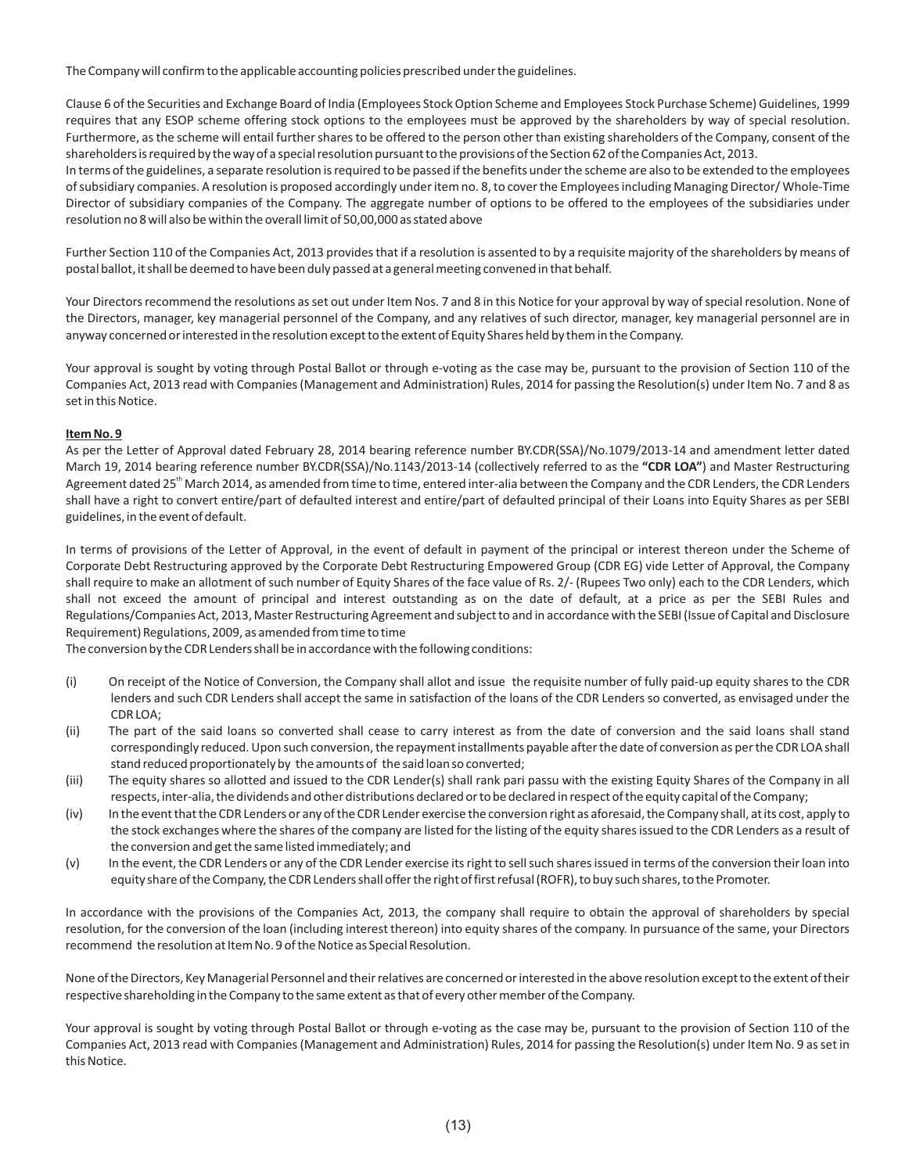The Company will confirm to the applicable accounting policies prescribed under the guidelines.

Clause 6 of the Securities and Exchange Board of India (Employees Stock Option Scheme and Employees Stock Purchase Scheme) Guidelines, 1999 requires that any ESOP scheme offering stock options to the employees must be approved by the shareholders by way of special resolution. Furthermore, as the scheme will entail further shares to be offered to the person other than existing shareholders of the Company, consent of the shareholders is required by the way of a special resolution pursuant to the provisions of the Section 62 of the Companies Act, 2013.

In terms of the guidelines, a separate resolution is required to be passed if the benefits under the scheme are also to be extended to the employees of subsidiary companies. A resolution is proposed accordingly under itemno. 8, to cover the Employees including Managing Director/ Whole-Time Director of subsidiary companies of the Company. The aggregate number of options to be offered to the employees of the subsidiaries under resolution no 8 will also be within the overall limit of 50,00,000 as stated above

Further Section 110 of the Companies Act, 2013 provides that if a resolution is assented to by a requisite majority of the shareholders by means of postal ballot, it shall be deemed to have been duly passed at a general meeting convened in that behalf.

Your Directors recommend the resolutions as set out under Item Nos. 7 and 8 in this Notice for your approval by way of special resolution. None of the Directors, manager, key managerial personnel of the Company, and any relatives of such director, manager, key managerial personnel are in anyway concerned or interested in the resolution except to the extent of Equity Shares held by them in the Company.

Your approval is sought by voting through Postal Ballot or through e-voting as the case may be, pursuant to the provision of Section 110 of the Companies Act, 2013 read with Companies (Management and Administration) Rules, 2014 for passing the Resolution(s) under Item No. 7 and 8 as set in this Notice.

#### **Item No. 9**

As per the Letter of Approval dated February 28, 2014 bearing reference number BY.CDR(SSA)/No.1079/2013-14 and amendment letter dated March 19, 2014 bearing reference number BY.CDR(SSA)/No.1143/2013-14 (collectively referred to as the **"CDR LOA"**) and Master Restructuring Agreement dated 25<sup>th</sup> March 2014, as amended from time to time, entered inter-alia between the Company and the CDR Lenders, the CDR Lenders shall have a right to convert entire/part of defaulted interest and entire/part of defaulted principal of their Loans into Equity Shares as per SEBI guidelines, in the event of default.

In terms of provisions of the Letter of Approval, in the event of default in payment of the principal or interest thereon under the Scheme of Corporate Debt Restructuring approved by the Corporate Debt Restructuring Empowered Group (CDR EG) vide Letter of Approval, the Company shall require to make an allotment of such number of Equity Shares of the face value of Rs. 2/- (Rupees Two only) each to the CDR Lenders, which shall not exceed the amount of principal and interest outstanding as on the date of default, at a price as per the SEBI Rules and Regulations/Companies Act, 2013, Master Restructuring Agreement and subject to and in accordance with the SEBI (Issue of Capital and Disclosure Requirement) Regulations, 2009, as amended from time to time

The conversion by the CDR Lenders shall be in accordance with the following conditions:

- (i) On receipt of the Notice of Conversion, the Company shall allot and issue the requisite number of fully paid-up equity shares to the CDR lenders and such CDR Lenders shall accept the same in satisfaction of the loans of the CDR Lenders so converted, as envisaged under the CDR LOA;
- (ii) The part of the said loans so converted shall cease to carry interest as from the date of conversion and the said loans shall stand correspondingly reduced. Upon such conversion, the repayment installments payable after the date of conversion as per the CDR LOA shall stand reduced proportionately by the amounts of the said loan so converted;
- (iii) The equity shares so allotted and issued to the CDR Lender(s) shall rank pari passu with the existing Equity Shares of the Company in all respects, inter-alia, the dividends and other distributions declared or to be declared in respect of the equity capital of the Company;
- (iv) In the event that the CDR Lenders or any of the CDR Lender exercise the conversion right as aforesaid, the Company shall, at its cost, apply to the stock exchanges where the shares of the company are listed for the listing of the equity shares issued to the CDR Lenders as a result of the conversion and get the same listed immediately; and
- (v) In the event, the CDR Lenders or any of the CDR Lender exercise its right to sell such shares issued in terms of the conversion their loan into equity share of the Company, the CDR Lenders shall offer the right of first refusal (ROFR), to buy such shares, to the Promoter.

In accordance with the provisions of the Companies Act, 2013, the company shall require to obtain the approval of shareholders by special resolution, for the conversion of the loan (including interest thereon) into equity shares of the company. In pursuance of the same, your Directors recommend the resolution at Item No. 9 of the Notice as Special Resolution.

None of the Directors, Key Managerial Personnel and their relatives are concerned or interested in the above resolution except to the extent of their respective shareholding in the Company to the same extent as that of every other member of the Company.

Your approval is sought by voting through Postal Ballot or through e-voting as the case may be, pursuant to the provision of Section 110 of the Companies Act, 2013 read with Companies (Management and Administration) Rules, 2014 for passing the Resolution(s) under Item No. 9 as set in this Notice.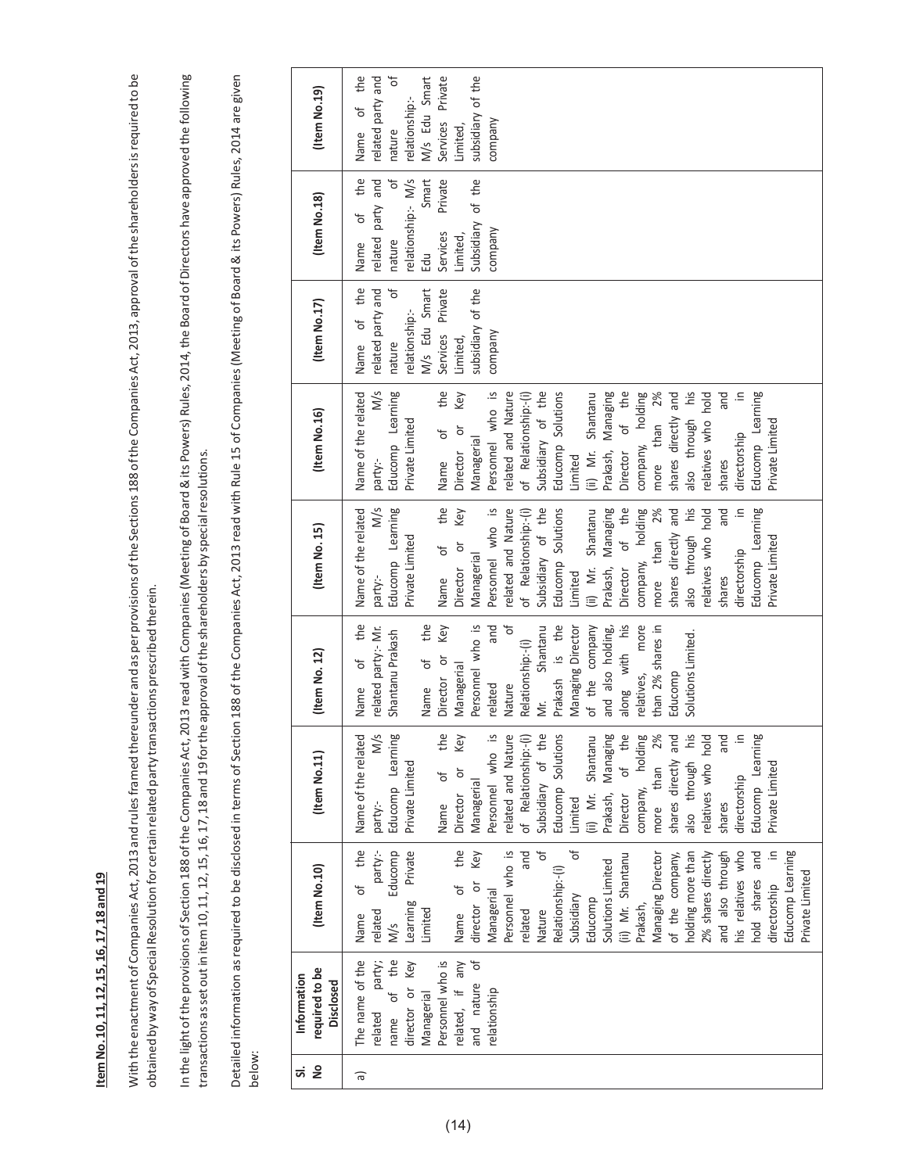# tem No. 10, 11, 12, 15, 16, 17, 18 and 19 **ItemNo. 10, 11, 12, 15, 16, 17, 18 and 19**

With the enactment of Companies Act, 2013 and rules framed thereunder and as per provisions of the Sections 188 of the Companies Act, 2013, approval of the shareholders is required to be With the enactment of Companies Act, 2013 and rulesframed thereunder and as per provisions ofthe Sections 188 ofthe Companies Act, 2013, approval ofthe shareholdersisrequired to be obtained by way of Special Resolution for certain related party transactions prescribed therein. obtained byway of SpecialResolution for certain related party transactions prescribed therein. In the light of the provisions of Section 188 of the Companies Act, 2013 read with Companies (Meeting of Board & its Powers) Rules, 2014, the Board of Directors have approved the following In the light ofthe provisions of Section 188 ofthe Companies Act, 2013 read with Companies(Meeting of Board&its Powers) Rules, 2014,the Board of Directors have approved the following transactions as set out in item 10, 11, 12, 15, 16, 17, 18 and 19 for the approval of the shareholders by special resolutions. transactions asset outin item10, 11, 12, 15, 16, 17, 18 and 19 forthe approval ofthe shareholders by specialresolutions.

Detailed information as required to be disclosed in terms of Section 188 of the Companies Act, 2013 read with Rule 15 of Companies (Meeting of Board & its Powers) Rules, 2014 are given Detailed information as required to be disclosed in terms of Section 188 of the Companies Act, 2013 read with Rule 15 of Companies (Meeting of Board & its Powers) Rules, 2014 are given below:

| å<br>ದ | required to be<br>Information<br><b>Disclosed</b> | (Item No.10)                           | (Item No.11)                                         | (Item No. 12)                                       | (Item No. 15)                    | (Item No.16)                          | (Item No.17)                     | (Item No.18)                        | (Item No.19)                     |
|--------|---------------------------------------------------|----------------------------------------|------------------------------------------------------|-----------------------------------------------------|----------------------------------|---------------------------------------|----------------------------------|-------------------------------------|----------------------------------|
| ন্ন    | The name of the<br>related                        | party:-<br>the<br>đ<br>related<br>Name | M/s<br>e related<br>Name of th                       | the<br>related party:- Mr.<br><sup>of</sup><br>Name | M/s<br>Name of the related       | M/s<br>Name of the related<br>party:- | related party and<br>Name of the | related party and<br>of the<br>Name | the<br>Name of                   |
|        | party;<br>name of the                             | Educomp<br>M/s                         | Learning<br>Educomp<br>party:-                       | Shantanu Prakash                                    | Educomp Learning<br>party:-      | Educomp Learning                      | $\overline{\sigma}$<br>nature    | $\overline{a}$<br>nature            | ъ<br>related party and<br>nature |
|        | director or Key                                   | Private<br>Learning                    | Private Limited                                      |                                                     | Private Limited                  | Private Limited                       | relationship:-                   | relationship:- M/s                  | relationship:-                   |
|        | Managerial                                        | Limited                                |                                                      | the<br>Name of                                      |                                  |                                       | M/s Edu Smart                    | Smart<br>Edu                        | M/s Edu Smart                    |
|        | Personnel who is                                  |                                        | the<br>ზ<br>Name                                     | Key<br>Director or                                  | the<br>Name of                   | the<br>Name of                        | Services Private                 | Private<br>Services                 | Services Private                 |
|        | đ<br>related, if any<br>and nature                | Key<br>the<br>director or<br>Name of   | Key<br>$\overline{\sigma}$<br>Managerial<br>Director | Personnel who is<br>Managerial                      | Key<br>Director or<br>Managerial | Key<br>Director or<br>Managerial      | subsidiary of the<br>Limited,    | Subsidiary of the<br>Limited,       | subsidiary of the<br>Limited,    |
|        | relationship                                      | Managerial                             | who is<br>Personnel                                  | and<br>related                                      | Personnel who is                 | Personnel who is                      | company                          | company                             | company                          |
|        |                                                   | Personnel who is                       | Nature<br>related and                                | $\overline{\sigma}$<br>Nature                       | related and Nature               | related and Nature                    |                                  |                                     |                                  |
|        |                                                   | and<br>related                         | of Relationship:-(i)                                 | Relationship:-(i)                                   | of Relationship:-(i)             | of Relationship:-(i)                  |                                  |                                     |                                  |
|        |                                                   | đ<br>Nature                            | of the<br>Subsidiary                                 | Mr. Shantanu                                        | Subsidiary of the                | Subsidiary of the                     |                                  |                                     |                                  |
|        |                                                   | Relationship:-(i)                      | Solutions<br>Educomp                                 | Prakash is the                                      | Educomp Solutions                | Educomp Solutions                     |                                  |                                     |                                  |
|        |                                                   | Ⴆ<br>Subsidiary                        | Limited                                              | Managing Director                                   | Limited                          | Limited                               |                                  |                                     |                                  |
|        |                                                   | Educomp                                | (ii) Mr. Shantanu                                    | of the company                                      | (ii) Mr. Shantanu                | (ii) Mr. Shantanu                     |                                  |                                     |                                  |
|        |                                                   | Solutions Limited                      | Prakash, Managing                                    | and also holding,                                   | Prakash, Managing                | Prakash, Managing                     |                                  |                                     |                                  |
|        |                                                   | (ii) Mr. Shantanu                      | of the<br>Director                                   | along with his                                      | Director of the                  | Director of the                       |                                  |                                     |                                  |
|        |                                                   | Prakash,                               | holding<br>company,                                  | relatives, more                                     | company, holding                 | company, holding                      |                                  |                                     |                                  |
|        |                                                   | Managing Director                      | 2%<br>more than                                      | than 2% shares in                                   | more than 2%                     | 2%<br>more than                       |                                  |                                     |                                  |
|        |                                                   | of the company,                        | shares directly and<br>also through his              | Educomp                                             | shares directly and              | shares directly and                   |                                  |                                     |                                  |
|        |                                                   | holding more than                      |                                                      | Solutions Limited.                                  | iq<br>also through               | also through his                      |                                  |                                     |                                  |
|        |                                                   | 2% shares directly                     | relatives who hold                                   |                                                     | relatives who hold               | relatives who hold                    |                                  |                                     |                                  |
|        |                                                   | and also through                       | and<br>shares                                        |                                                     | and<br>shares                    | and<br>shares                         |                                  |                                     |                                  |
|        |                                                   | his relatives who                      | $\cong$<br>directorship                              |                                                     | $\cong$<br>directorship          | ≘.<br>directorship                    |                                  |                                     |                                  |
|        |                                                   | and<br>hold shares                     | Learning<br>Educomp                                  |                                                     | Educomp Learning                 | Educomp Learning                      |                                  |                                     |                                  |
|        |                                                   | $\cong$<br>directorship                | Private Limited                                      |                                                     | Private Limited                  | Private Limited                       |                                  |                                     |                                  |
|        |                                                   | Educomp Learning                       |                                                      |                                                     |                                  |                                       |                                  |                                     |                                  |
|        |                                                   | Private Limited                        |                                                      |                                                     |                                  |                                       |                                  |                                     |                                  |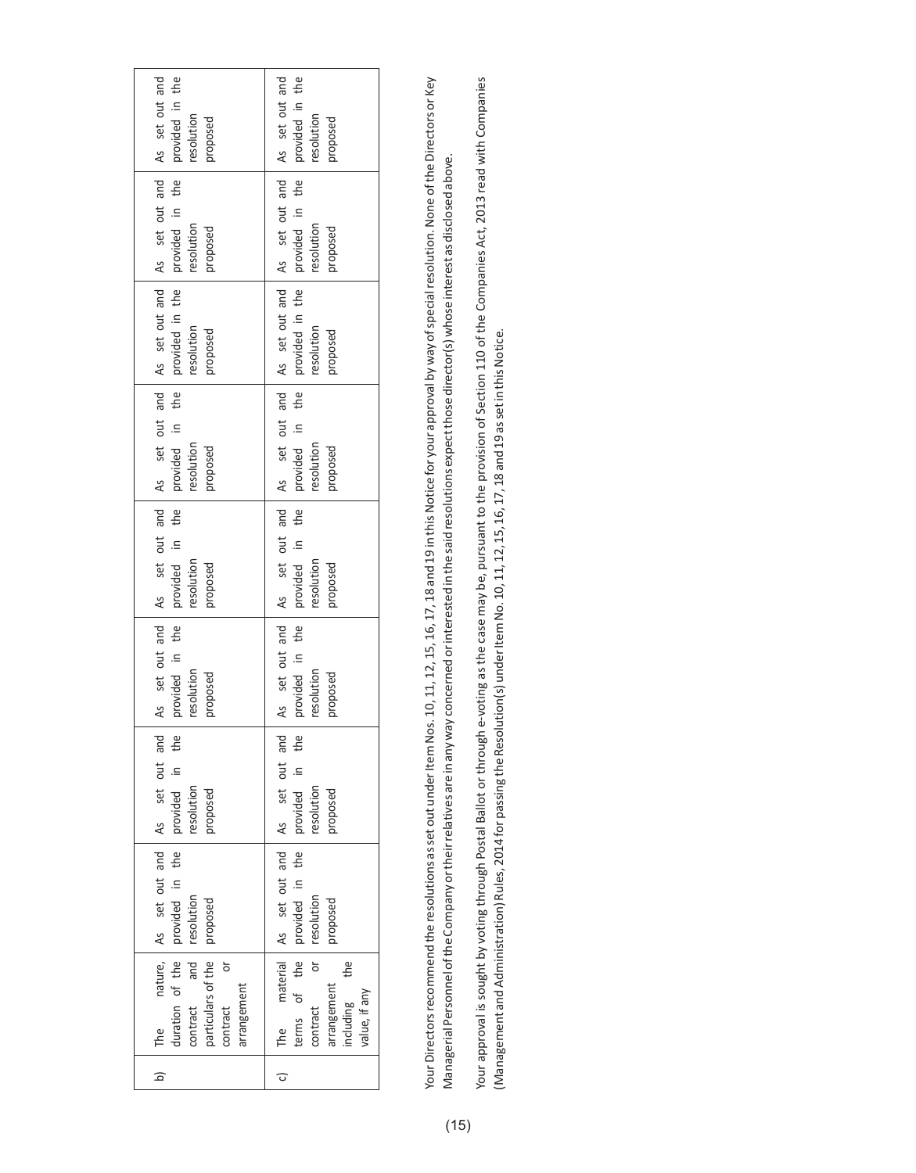| As set out and                                                                           | As set out and                                                                                      |
|------------------------------------------------------------------------------------------|-----------------------------------------------------------------------------------------------------|
| provided in the                                                                          | provided in the                                                                                     |
| resolution                                                                               | resolution                                                                                          |
| proposed                                                                                 | pasodard                                                                                            |
| As set out and                                                                           | As set out and                                                                                      |
| provided in the                                                                          | provided in the                                                                                     |
| resolution                                                                               | resolution                                                                                          |
| pasodard                                                                                 | pasodoro                                                                                            |
| As set out and                                                                           | As set out and                                                                                      |
| provided in the                                                                          | provided in the                                                                                     |
| resolution                                                                               | resolution                                                                                          |
| proposed                                                                                 | proposed                                                                                            |
| As set out and<br>the<br>provided in<br>resolution<br>proposed                           | As set out and<br>the<br>⊒.<br>provided<br>resolution<br>proposed                                   |
| As set out and                                                                           | As set out and                                                                                      |
| the                                                                                      | the                                                                                                 |
| provided in                                                                              | provided in                                                                                         |
| resolution                                                                               | resolution                                                                                          |
| proposed                                                                                 | proposed                                                                                            |
| As set out and                                                                           | As set out and                                                                                      |
| provided in the                                                                          | provided in the                                                                                     |
| resolution                                                                               | resolution                                                                                          |
| proposed                                                                                 | proposed                                                                                            |
| and<br>the<br>out<br>$\equiv$<br>resolution<br>pasodoic<br>provided                      | out and<br>the<br>$\equiv$<br>resolution<br>pasodoic<br>provided                                    |
| nature, As set out and As set                                                            | material As set out and As set                                                                      |
| provided in the                                                                          | terms of the provided in the                                                                        |
| resolution                                                                               | resolution                                                                                          |
| proposed                                                                                 | proposed                                                                                            |
| $d$ duration of the $\vert$<br>particulars of the<br>ŏ<br>arrangement<br>contract<br>The | $rac{}{1}{\sigma}$<br>the<br><b>arrangement</b><br>including<br>value, if any<br>contract<br>c) The |
| $\overline{a}$                                                                           |                                                                                                     |

Your Directors recommend the resolutions as set out under Item Nos. 10, 11, 12, 15, 16, 17, 18 and 19 in this Notice for your approval by way of special resolution. None of the Directors or Key Your Directors recommend the resolutions as set out under Item Nos. 10, 17, 16, 15, 16, 17, 18 and 19 in this Notice for your approval by way of special resolution. None of the Directors or Key Managerial Personnel of the Company or their relatives are in any way concerned or interested in the said resolutions expect those director(s) whose interest as disclosed above. Managerial Personnel ofthe Company ortheirrelatives are in anyway concerned orinterested in the said resolutions expectthose director(s)whose interest as disclosed above. Your approval is sought by voting through Postal Ballot or through e-voting as the case may be, pursuant to the provision of Section 110 of the Companies Act, 2013 read with Companies Your approval is sought Postal Ballot or through e-voting as the case may be, pursuant to the provision of Section 110 of the Companies Act, 2013 read with Companies (Management and Administration) Rules, 2014 for passing the Resolution(s) under Item No. 10, 11, 12, 15, 16, 17, 18 and 19 as set in this Notice. (Management andAdministration)Rules, 2014 for passing theResolution(s) underItemNo. 10, 11, 12, 15, 16, 17, 18 and 19 assetin thisNotice.